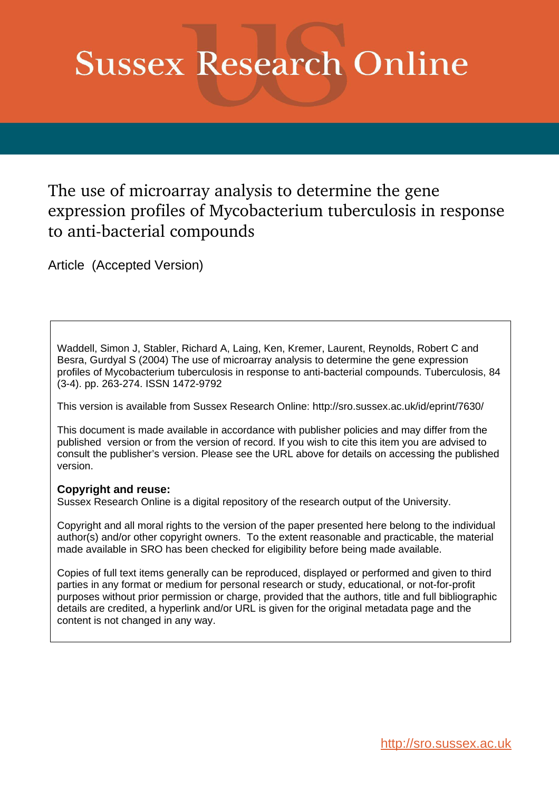# **Sussex Research Online**

# The use of microarray analysis to determine the gene expression profiles of Mycobacterium tuberculosis in response to anti-bacterial compounds

Article (Accepted Version)

Waddell, Simon J, Stabler, Richard A, Laing, Ken, Kremer, Laurent, Reynolds, Robert C and Besra, Gurdyal S (2004) The use of microarray analysis to determine the gene expression profiles of Mycobacterium tuberculosis in response to anti-bacterial compounds. Tuberculosis, 84 (3-4). pp. 263-274. ISSN 1472-9792

This version is available from Sussex Research Online: http://sro.sussex.ac.uk/id/eprint/7630/

This document is made available in accordance with publisher policies and may differ from the published version or from the version of record. If you wish to cite this item you are advised to consult the publisher's version. Please see the URL above for details on accessing the published version.

#### **Copyright and reuse:**

Sussex Research Online is a digital repository of the research output of the University.

Copyright and all moral rights to the version of the paper presented here belong to the individual author(s) and/or other copyright owners. To the extent reasonable and practicable, the material made available in SRO has been checked for eligibility before being made available.

Copies of full text items generally can be reproduced, displayed or performed and given to third parties in any format or medium for personal research or study, educational, or not-for-profit purposes without prior permission or charge, provided that the authors, title and full bibliographic details are credited, a hyperlink and/or URL is given for the original metadata page and the content is not changed in any way.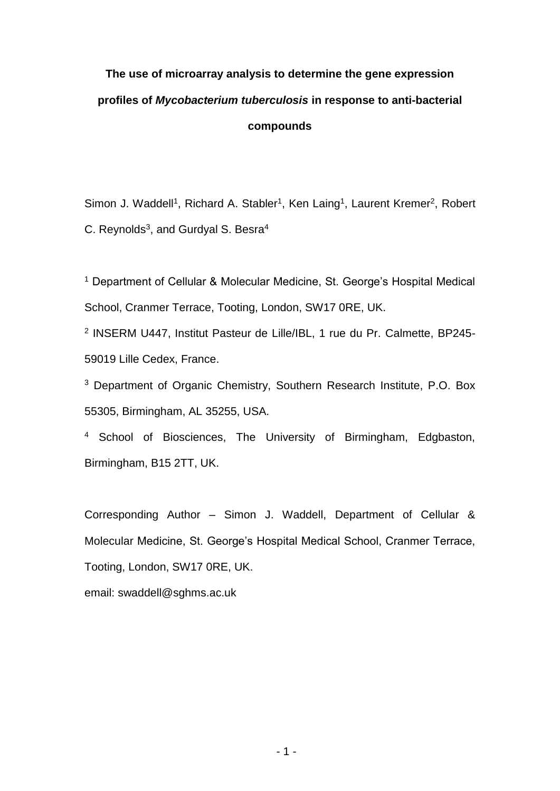# **The use of microarray analysis to determine the gene expression profiles of** *Mycobacterium tuberculosis* **in response to anti-bacterial compounds**

Simon J. Waddell<sup>1</sup>, Richard A. Stabler<sup>1</sup>, Ken Laing<sup>1</sup>, Laurent Kremer<sup>2</sup>, Robert C. Reynolds<sup>3</sup>, and Gurdyal S. Besra<sup>4</sup>

<sup>1</sup> Department of Cellular & Molecular Medicine, St. George's Hospital Medical School, Cranmer Terrace, Tooting, London, SW17 0RE, UK.

2 INSERM U447, Institut Pasteur de Lille/IBL, 1 rue du Pr. Calmette, BP245- 59019 Lille Cedex, France.

<sup>3</sup> Department of Organic Chemistry, Southern Research Institute, P.O. Box 55305, Birmingham, AL 35255, USA.

<sup>4</sup> School of Biosciences, The University of Birmingham, Edgbaston, Birmingham, B15 2TT, UK.

Corresponding Author – Simon J. Waddell, Department of Cellular & Molecular Medicine, St. George's Hospital Medical School, Cranmer Terrace, Tooting, London, SW17 0RE, UK.

email: swaddell@sghms.ac.uk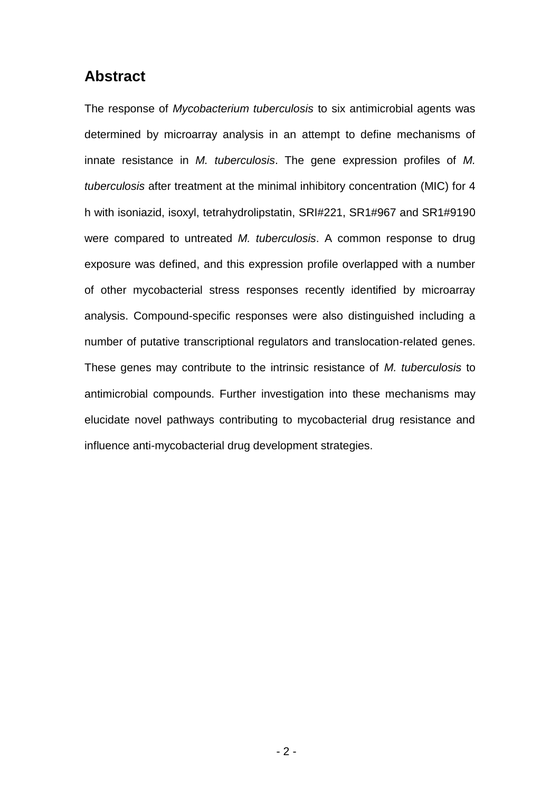# **Abstract**

The response of *Mycobacterium tuberculosis* to six antimicrobial agents was determined by microarray analysis in an attempt to define mechanisms of innate resistance in *M. tuberculosis*. The gene expression profiles of *M. tuberculosis* after treatment at the minimal inhibitory concentration (MIC) for 4 h with isoniazid, isoxyl, tetrahydrolipstatin, SRI#221, SR1#967 and SR1#9190 were compared to untreated *M. tuberculosis*. A common response to drug exposure was defined, and this expression profile overlapped with a number of other mycobacterial stress responses recently identified by microarray analysis. Compound-specific responses were also distinguished including a number of putative transcriptional regulators and translocation-related genes. These genes may contribute to the intrinsic resistance of *M. tuberculosis* to antimicrobial compounds. Further investigation into these mechanisms may elucidate novel pathways contributing to mycobacterial drug resistance and influence anti-mycobacterial drug development strategies.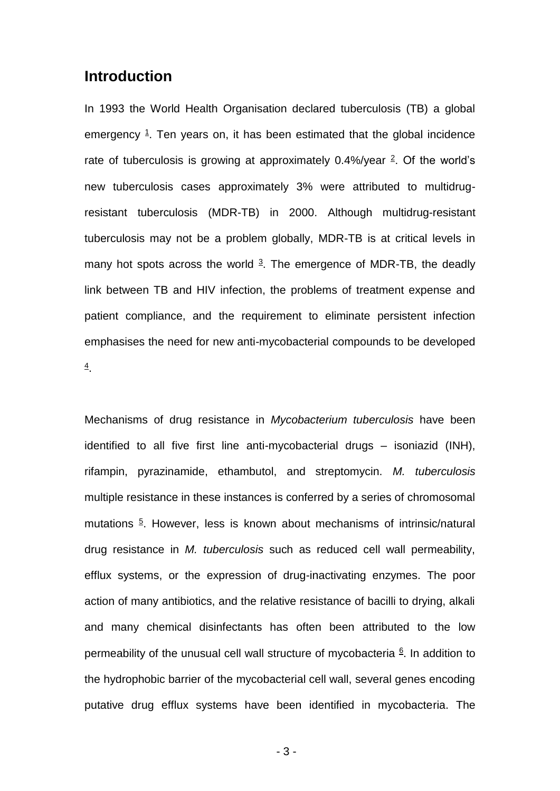# **Introduction**

In 1993 the World Health Organisation declared tuberculosis (TB) a global emergency <sup>1</sup>. Ten years on, it has been estimated that the global incidence rate of tuberculosis is growing at approximately  $0.4\frac{1}{2}$  Of the world's new tuberculosis cases approximately 3% were attributed to multidrugresistant tuberculosis (MDR-TB) in 2000. Although multidrug-resistant tuberculosis may not be a problem globally, MDR-TB is at critical levels in many hot spots across the world  $3$ . The emergence of MDR-TB, the deadly link between TB and HIV infection, the problems of treatment expense and patient compliance, and the requirement to eliminate persistent infection emphasises the need for new anti-mycobacterial compounds to be developed 4 .

Mechanisms of drug resistance in *Mycobacterium tuberculosis* have been identified to all five first line anti-mycobacterial drugs – isoniazid (INH), rifampin, pyrazinamide, ethambutol, and streptomycin. *M. tuberculosis* multiple resistance in these instances is conferred by a series of chromosomal mutations<sup>5</sup>. However, less is known about mechanisms of intrinsic/natural drug resistance in *M. tuberculosis* such as reduced cell wall permeability, efflux systems, or the expression of drug-inactivating enzymes. The poor action of many antibiotics, and the relative resistance of bacilli to drying, alkali and many chemical disinfectants has often been attributed to the low permeability of the unusual cell wall structure of mycobacteria  $6$ . In addition to the hydrophobic barrier of the mycobacterial cell wall, several genes encoding putative drug efflux systems have been identified in mycobacteria. The

- 3 -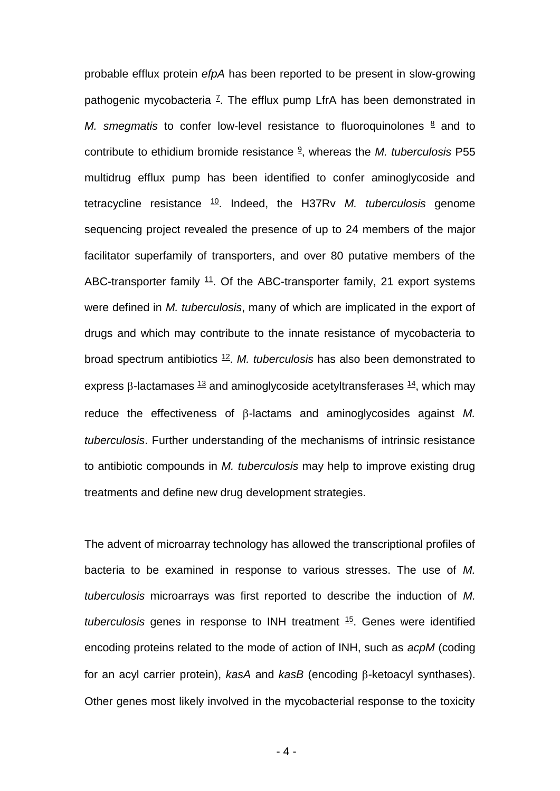probable efflux protein *efpA* has been reported to be present in slow-growing pathogenic mycobacteria <sup>z</sup>. The efflux pump LfrA has been demonstrated in *M. smegmatis* to confer low-level resistance to fluoroquinolones  $\frac{8}{3}$  and to contribute to ethidium bromide resistance <sup>9</sup> , whereas the *M. tuberculosis* P55 multidrug efflux pump has been identified to confer aminoglycoside and tetracycline resistance <sup>10</sup>. Indeed, the H37Rv *M. tuberculosis* genome sequencing project revealed the presence of up to 24 members of the major facilitator superfamily of transporters, and over 80 putative members of the ABC-transporter family  $11$ . Of the ABC-transporter family, 21 export systems were defined in *M. tuberculosis*, many of which are implicated in the export of drugs and which may contribute to the innate resistance of mycobacteria to broad spectrum antibiotics <sup>12</sup> . *M. tuberculosis* has also been demonstrated to express  $\beta$ -lactamases  $\frac{13}{2}$  and aminoglycoside acetyltransferases  $\frac{14}{2}$ , which may reduce the effectiveness of  $\beta$ -lactams and aminoglycosides against *M. tuberculosis*. Further understanding of the mechanisms of intrinsic resistance to antibiotic compounds in *M. tuberculosis* may help to improve existing drug treatments and define new drug development strategies.

The advent of microarray technology has allowed the transcriptional profiles of bacteria to be examined in response to various stresses. The use of *M. tuberculosis* microarrays was first reported to describe the induction of *M. tuberculosis* genes in response to INH treatment <sup>15</sup> . Genes were identified encoding proteins related to the mode of action of INH, such as *acpM* (coding for an acyl carrier protein), *kasA* and *kasB* (encoding B-ketoacyl synthases). Other genes most likely involved in the mycobacterial response to the toxicity

- 4 -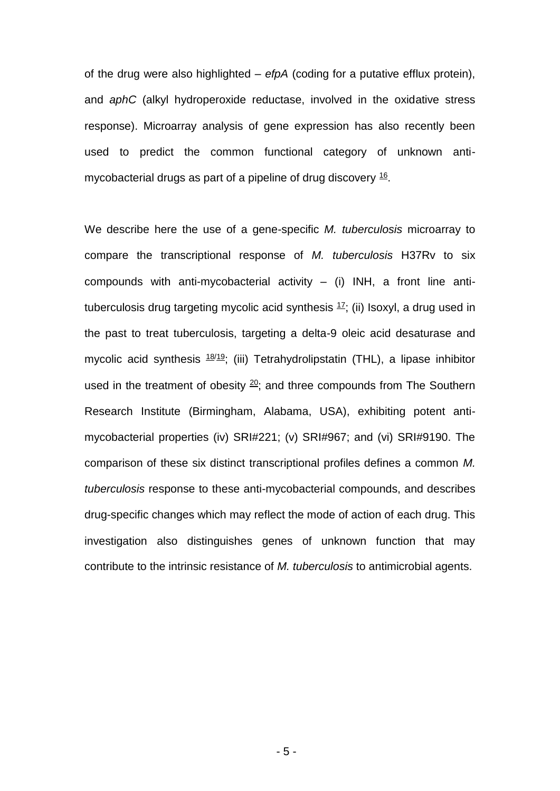of the drug were also highlighted – *efpA* (coding for a putative efflux protein), and *aphC* (alkyl hydroperoxide reductase, involved in the oxidative stress response). Microarray analysis of gene expression has also recently been used to predict the common functional category of unknown antimycobacterial drugs as part of a pipeline of drug discovery  $16$ .

We describe here the use of a gene-specific *M. tuberculosis* microarray to compare the transcriptional response of *M. tuberculosis* H37Rv to six compounds with anti-mycobacterial activity  $-$  (i) INH, a front line antituberculosis drug targeting mycolic acid synthesis <sup>17</sup>; (ii) Isoxyl, a drug used in the past to treat tuberculosis, targeting a delta-9 oleic acid desaturase and mycolic acid synthesis  $18/19$ ; (iii) Tetrahydrolipstatin (THL), a lipase inhibitor used in the treatment of obesity  $20$ ; and three compounds from The Southern Research Institute (Birmingham, Alabama, USA), exhibiting potent antimycobacterial properties (iv) SRI#221; (v) SRI#967; and (vi) SRI#9190. The comparison of these six distinct transcriptional profiles defines a common *M. tuberculosis* response to these anti-mycobacterial compounds, and describes drug-specific changes which may reflect the mode of action of each drug. This investigation also distinguishes genes of unknown function that may contribute to the intrinsic resistance of *M. tuberculosis* to antimicrobial agents.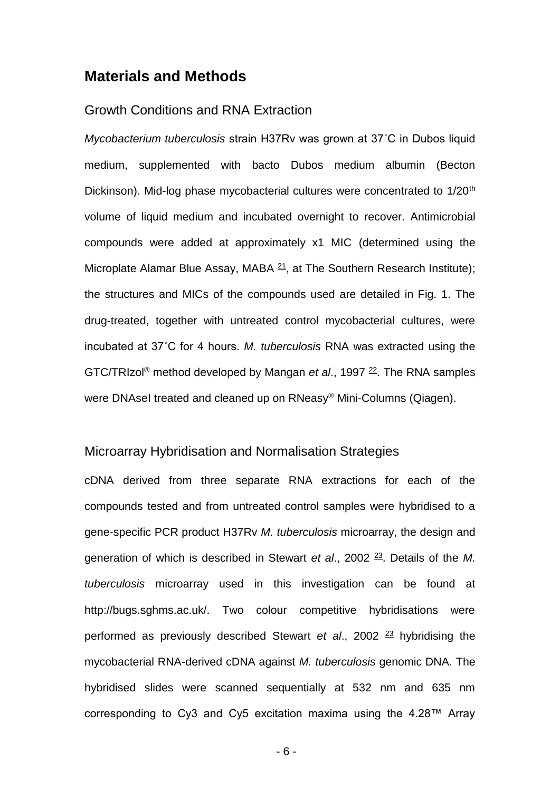### **Materials and Methods**

#### Growth Conditions and RNA Extraction

*Mycobacterium tuberculosis* strain H37Rv was grown at 37˚C in Dubos liquid medium, supplemented with bacto Dubos medium albumin (Becton Dickinson). Mid-log phase mycobacterial cultures were concentrated to 1/20<sup>th</sup> volume of liquid medium and incubated overnight to recover. Antimicrobial compounds were added at approximately x1 MIC (determined using the Microplate Alamar Blue Assay, MABA  $21$ , at The Southern Research Institute); the structures and MICs of the compounds used are detailed in Fig. 1. The drug-treated, together with untreated control mycobacterial cultures, were incubated at 37˚C for 4 hours. *M. tuberculosis* RNA was extracted using the GTC/TRIzol<sup>®</sup> method developed by Mangan *et al.*, 1997<sup>22</sup>. The RNA samples were DNAseI treated and cleaned up on RNeasy® Mini-Columns (Qiagen).

#### Microarray Hybridisation and Normalisation Strategies

cDNA derived from three separate RNA extractions for each of the compounds tested and from untreated control samples were hybridised to a gene-specific PCR product H37Rv *M. tuberculosis* microarray, the design and generation of which is described in Stewart *et al.*, 2002<sup>23</sup>. Details of the M. *tuberculosis* microarray used in this investigation can be found at http://bugs.sghms.ac.uk/. Two colour competitive hybridisations were performed as previously described Stewart *et al*., 2002 <sup>23</sup> hybridising the mycobacterial RNA-derived cDNA against *M. tuberculosis* genomic DNA. The hybridised slides were scanned sequentially at 532 nm and 635 nm corresponding to Cy3 and Cy5 excitation maxima using the 4.28™ Array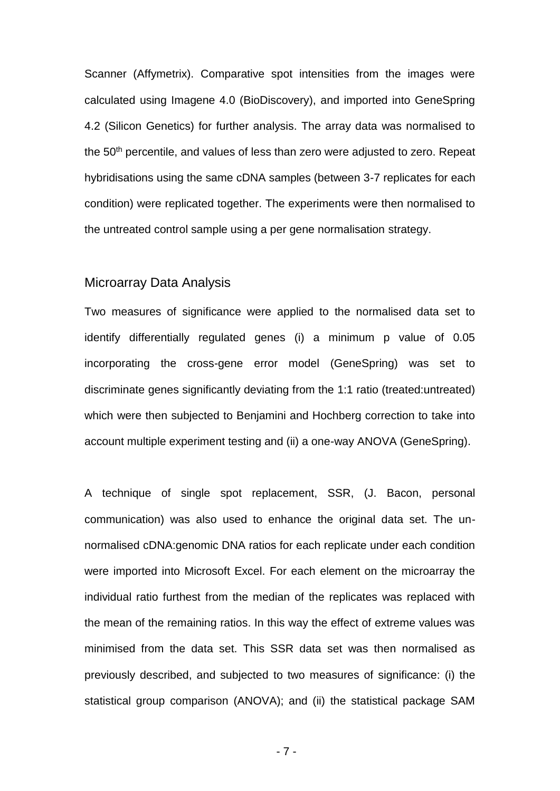Scanner (Affymetrix). Comparative spot intensities from the images were calculated using Imagene 4.0 (BioDiscovery), and imported into GeneSpring 4.2 (Silicon Genetics) for further analysis. The array data was normalised to the 50<sup>th</sup> percentile, and values of less than zero were adjusted to zero. Repeat hybridisations using the same cDNA samples (between 3-7 replicates for each condition) were replicated together. The experiments were then normalised to the untreated control sample using a per gene normalisation strategy.

### Microarray Data Analysis

Two measures of significance were applied to the normalised data set to identify differentially regulated genes (i) a minimum p value of 0.05 incorporating the cross-gene error model (GeneSpring) was set to discriminate genes significantly deviating from the 1:1 ratio (treated:untreated) which were then subjected to Benjamini and Hochberg correction to take into account multiple experiment testing and (ii) a one-way ANOVA (GeneSpring).

A technique of single spot replacement, SSR, (J. Bacon, personal communication) was also used to enhance the original data set. The unnormalised cDNA:genomic DNA ratios for each replicate under each condition were imported into Microsoft Excel. For each element on the microarray the individual ratio furthest from the median of the replicates was replaced with the mean of the remaining ratios. In this way the effect of extreme values was minimised from the data set. This SSR data set was then normalised as previously described, and subjected to two measures of significance: (i) the statistical group comparison (ANOVA); and (ii) the statistical package SAM

- 7 -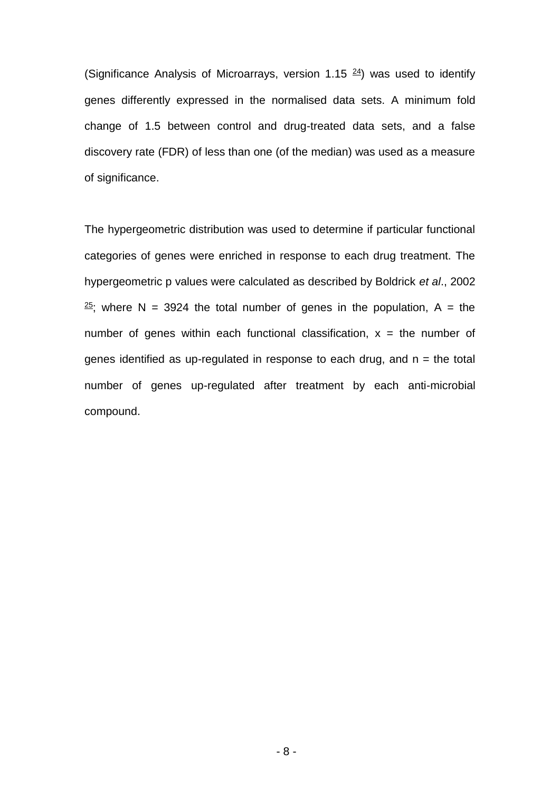(Significance Analysis of Microarrays, version 1.15  $24$ ) was used to identify genes differently expressed in the normalised data sets. A minimum fold change of 1.5 between control and drug-treated data sets, and a false discovery rate (FDR) of less than one (of the median) was used as a measure of significance.

The hypergeometric distribution was used to determine if particular functional categories of genes were enriched in response to each drug treatment. The hypergeometric p values were calculated as described by Boldrick *et al*., 2002  $25$ ; where N = 3924 the total number of genes in the population, A = the number of genes within each functional classification,  $x =$  the number of genes identified as up-regulated in response to each drug, and  $n =$  the total number of genes up-regulated after treatment by each anti-microbial compound.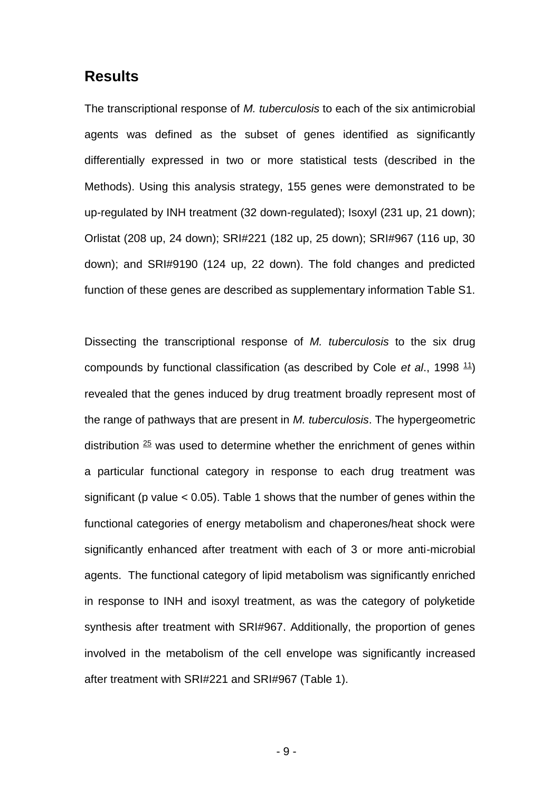### **Results**

The transcriptional response of *M. tuberculosis* to each of the six antimicrobial agents was defined as the subset of genes identified as significantly differentially expressed in two or more statistical tests (described in the Methods). Using this analysis strategy, 155 genes were demonstrated to be up-regulated by INH treatment (32 down-regulated); Isoxyl (231 up, 21 down); Orlistat (208 up, 24 down); SRI#221 (182 up, 25 down); SRI#967 (116 up, 30 down); and SRI#9190 (124 up, 22 down). The fold changes and predicted function of these genes are described as supplementary information Table S1.

Dissecting the transcriptional response of *M. tuberculosis* to the six drug compounds by functional classification (as described by Cole *et al.*, 1998<sup>11</sup>) revealed that the genes induced by drug treatment broadly represent most of the range of pathways that are present in *M. tuberculosis*. The hypergeometric distribution  $25$  was used to determine whether the enrichment of genes within a particular functional category in response to each drug treatment was significant (p value  $< 0.05$ ). Table 1 shows that the number of genes within the functional categories of energy metabolism and chaperones/heat shock were significantly enhanced after treatment with each of 3 or more anti-microbial agents. The functional category of lipid metabolism was significantly enriched in response to INH and isoxyl treatment, as was the category of polyketide synthesis after treatment with SRI#967. Additionally, the proportion of genes involved in the metabolism of the cell envelope was significantly increased after treatment with SRI#221 and SRI#967 (Table 1).

- 9 -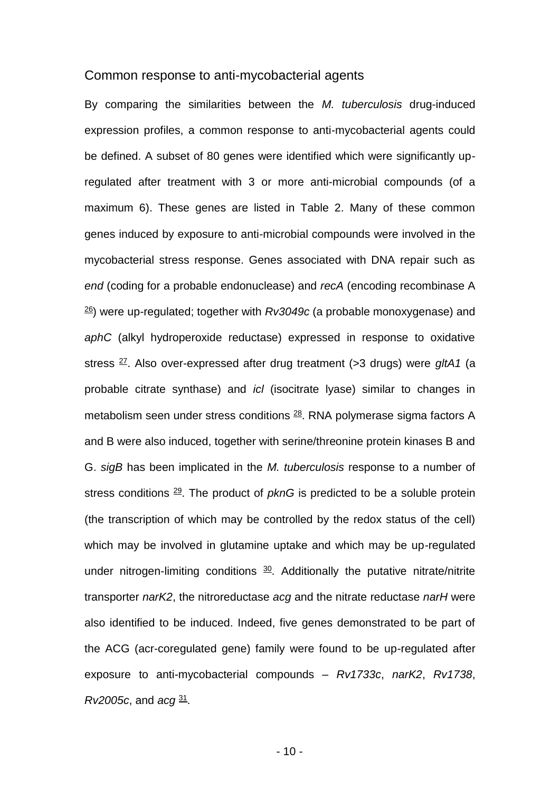#### Common response to anti-mycobacterial agents

By comparing the similarities between the *M. tuberculosis* drug-induced expression profiles, a common response to anti-mycobacterial agents could be defined. A subset of 80 genes were identified which were significantly upregulated after treatment with 3 or more anti-microbial compounds (of a maximum 6). These genes are listed in Table 2. Many of these common genes induced by exposure to anti-microbial compounds were involved in the mycobacterial stress response. Genes associated with DNA repair such as *end* (coding for a probable endonuclease) and *recA* (encoding recombinase A 26 ) were up-regulated; together with *Rv3049c* (a probable monoxygenase) and *aphC* (alkyl hydroperoxide reductase) expressed in response to oxidative stress <sup>27</sup> . Also over-expressed after drug treatment (>3 drugs) were *gltA1* (a probable citrate synthase) and *icl* (isocitrate lyase) similar to changes in metabolism seen under stress conditions  $^{28}$ . RNA polymerase sigma factors A and B were also induced, together with serine/threonine protein kinases B and G. *sigB* has been implicated in the *M. tuberculosis* response to a number of stress conditions <sup>29</sup>. The product of *pknG* is predicted to be a soluble protein (the transcription of which may be controlled by the redox status of the cell) which may be involved in glutamine uptake and which may be up-regulated under nitrogen-limiting conditions  $30$ . Additionally the putative nitrate/nitrite transporter *narK2*, the nitroreductase *acg* and the nitrate reductase *narH* were also identified to be induced. Indeed, five genes demonstrated to be part of the ACG (acr-coregulated gene) family were found to be up-regulated after exposure to anti-mycobacterial compounds – *Rv1733c*, *narK2*, *Rv1738*, *Rv2005c*, and *acg* <sup>31</sup> .

- 10 -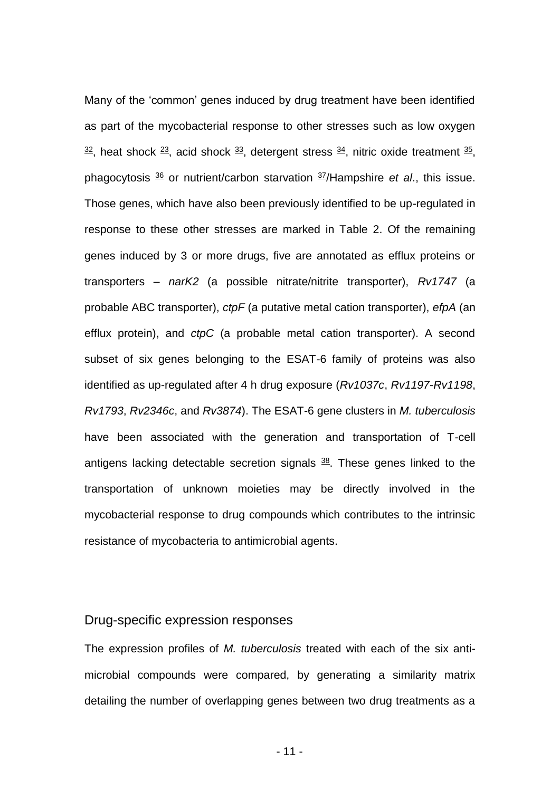Many of the 'common' genes induced by drug treatment have been identified as part of the mycobacterial response to other stresses such as low oxygen  $32$ , heat shock  $23$ , acid shock  $33$ , detergent stress  $34$ , nitric oxide treatment  $35$ , phagocytosis <sup>36</sup> or nutrient/carbon starvation <sup>37</sup> /Hampshire *et al*., this issue. Those genes, which have also been previously identified to be up-regulated in response to these other stresses are marked in Table 2. Of the remaining genes induced by 3 or more drugs, five are annotated as efflux proteins or transporters – *narK2* (a possible nitrate/nitrite transporter), *Rv1747* (a probable ABC transporter), *ctpF* (a putative metal cation transporter), *efpA* (an efflux protein), and *ctpC* (a probable metal cation transporter). A second subset of six genes belonging to the ESAT-6 family of proteins was also identified as up-regulated after 4 h drug exposure (*Rv1037c*, *Rv1197*-*Rv1198*, *Rv1793*, *Rv2346c*, and *Rv3874*). The ESAT-6 gene clusters in *M. tuberculosis* have been associated with the generation and transportation of T-cell antigens lacking detectable secretion signals  $\frac{38}{2}$ . These genes linked to the transportation of unknown moieties may be directly involved in the mycobacterial response to drug compounds which contributes to the intrinsic resistance of mycobacteria to antimicrobial agents.

#### Drug-specific expression responses

The expression profiles of *M. tuberculosis* treated with each of the six antimicrobial compounds were compared, by generating a similarity matrix detailing the number of overlapping genes between two drug treatments as a

- 11 -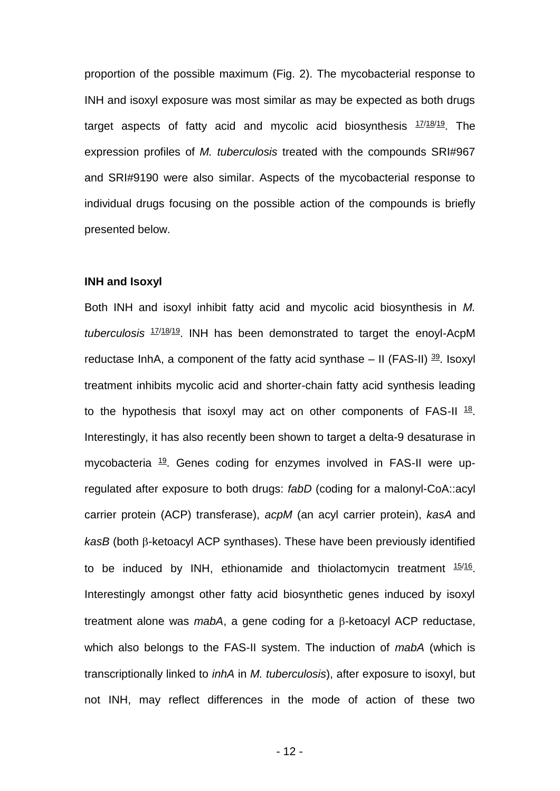proportion of the possible maximum (Fig. 2). The mycobacterial response to INH and isoxyl exposure was most similar as may be expected as both drugs target aspects of fatty acid and mycolic acid biosynthesis  $17/18/19$ . The expression profiles of *M. tuberculosis* treated with the compounds SRI#967 and SRI#9190 were also similar. Aspects of the mycobacterial response to individual drugs focusing on the possible action of the compounds is briefly presented below.

#### **INH and Isoxyl**

Both INH and isoxyl inhibit fatty acid and mycolic acid biosynthesis in *M. tuberculosis* 17/18/19 . INH has been demonstrated to target the enoyl-AcpM reductase InhA, a component of the fatty acid synthase  $-$  II (FAS-II)  $^{39}$ . Isoxyl treatment inhibits mycolic acid and shorter-chain fatty acid synthesis leading to the hypothesis that isoxyl may act on other components of FAS-II  $18$ . Interestingly, it has also recently been shown to target a delta-9 desaturase in mycobacteria <sup>19</sup>. Genes coding for enzymes involved in FAS-II were upregulated after exposure to both drugs: *fabD* (coding for a malonyl-CoA::acyl carrier protein (ACP) transferase), *acpM* (an acyl carrier protein), *kasA* and  $k$ asB (both  $\beta$ -ketoacyl ACP synthases). These have been previously identified to be induced by INH, ethionamide and thiolactomycin treatment  $15/16$ . Interestingly amongst other fatty acid biosynthetic genes induced by isoxyl treatment alone was *mabA*, a gene coding for a  $\beta$ -ketoacyl ACP reductase, which also belongs to the FAS-II system. The induction of *mabA* (which is transcriptionally linked to *inhA* in *M. tuberculosis*), after exposure to isoxyl, but not INH, may reflect differences in the mode of action of these two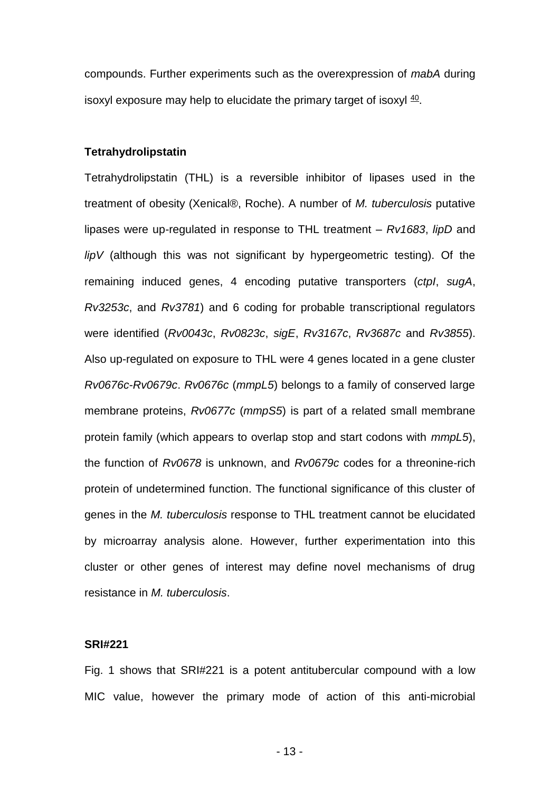compounds. Further experiments such as the overexpression of *mabA* during isoxyl exposure may help to elucidate the primary target of isoxyl  $40$ .

#### **Tetrahydrolipstatin**

Tetrahydrolipstatin (THL) is a reversible inhibitor of lipases used in the treatment of obesity (Xenical®, Roche). A number of *M. tuberculosis* putative lipases were up-regulated in response to THL treatment – *Rv1683*, *lipD* and *lipV* (although this was not significant by hypergeometric testing). Of the remaining induced genes, 4 encoding putative transporters (*ctpI*, *sugA*, *Rv3253c*, and *Rv3781*) and 6 coding for probable transcriptional regulators were identified (*Rv0043c*, *Rv0823c*, *sigE*, *Rv3167c*, *Rv3687c* and *Rv3855*). Also up-regulated on exposure to THL were 4 genes located in a gene cluster *Rv0676c*-*Rv0679c*. *Rv0676c* (*mmpL5*) belongs to a family of conserved large membrane proteins, *Rv0677c* (*mmpS5*) is part of a related small membrane protein family (which appears to overlap stop and start codons with *mmpL5*), the function of *Rv0678* is unknown, and *Rv0679c* codes for a threonine-rich protein of undetermined function. The functional significance of this cluster of genes in the *M. tuberculosis* response to THL treatment cannot be elucidated by microarray analysis alone. However, further experimentation into this cluster or other genes of interest may define novel mechanisms of drug resistance in *M. tuberculosis*.

#### **SRI#221**

Fig. 1 shows that SRI#221 is a potent antitubercular compound with a low MIC value, however the primary mode of action of this anti-microbial

- 13 -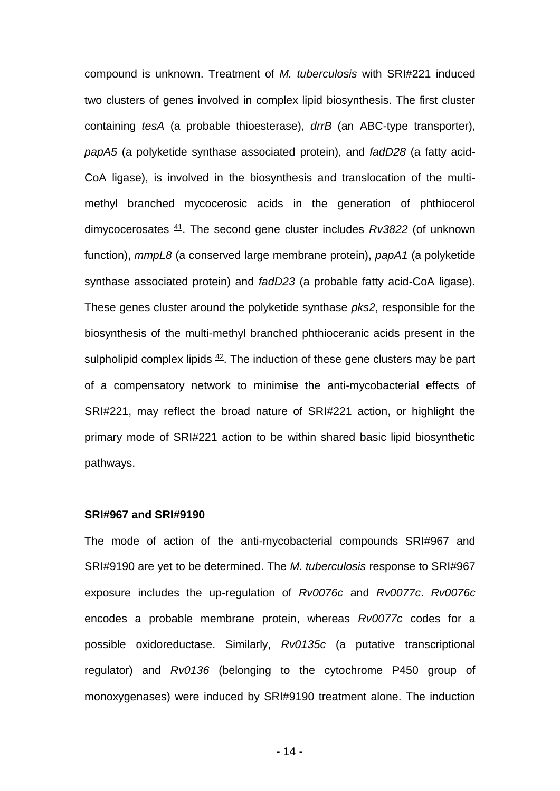compound is unknown. Treatment of *M. tuberculosis* with SRI#221 induced two clusters of genes involved in complex lipid biosynthesis. The first cluster containing *tesA* (a probable thioesterase), *drrB* (an ABC-type transporter), *papA5* (a polyketide synthase associated protein), and *fadD28* (a fatty acid-CoA ligase), is involved in the biosynthesis and translocation of the multimethyl branched mycocerosic acids in the generation of phthiocerol dimycocerosates <sup>41</sup>. The second gene cluster includes *Rv3822* (of unknown function), *mmpL8* (a conserved large membrane protein), *papA1* (a polyketide synthase associated protein) and *fadD23* (a probable fatty acid-CoA ligase). These genes cluster around the polyketide synthase *pks2*, responsible for the biosynthesis of the multi-methyl branched phthioceranic acids present in the sulpholipid complex lipids  $42$ . The induction of these gene clusters may be part of a compensatory network to minimise the anti-mycobacterial effects of SRI#221, may reflect the broad nature of SRI#221 action, or highlight the primary mode of SRI#221 action to be within shared basic lipid biosynthetic pathways.

#### **SRI#967 and SRI#9190**

The mode of action of the anti-mycobacterial compounds SRI#967 and SRI#9190 are yet to be determined. The *M. tuberculosis* response to SRI#967 exposure includes the up-regulation of *Rv0076c* and *Rv0077c*. *Rv0076c* encodes a probable membrane protein, whereas *Rv0077c* codes for a possible oxidoreductase. Similarly, *Rv0135c* (a putative transcriptional regulator) and *Rv0136* (belonging to the cytochrome P450 group of monoxygenases) were induced by SRI#9190 treatment alone. The induction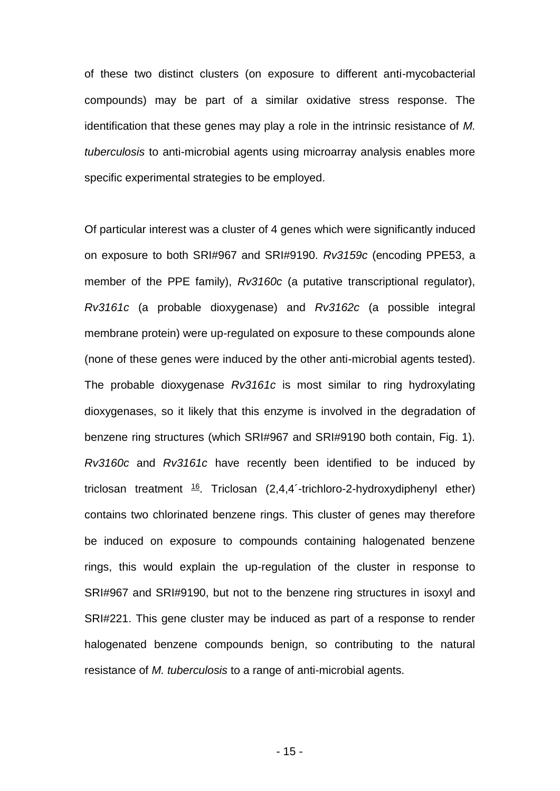of these two distinct clusters (on exposure to different anti-mycobacterial compounds) may be part of a similar oxidative stress response. The identification that these genes may play a role in the intrinsic resistance of *M. tuberculosis* to anti-microbial agents using microarray analysis enables more specific experimental strategies to be employed.

Of particular interest was a cluster of 4 genes which were significantly induced on exposure to both SRI#967 and SRI#9190. *Rv3159c* (encoding PPE53, a member of the PPE family), *Rv3160c* (a putative transcriptional regulator), *Rv3161c* (a probable dioxygenase) and *Rv3162c* (a possible integral membrane protein) were up-regulated on exposure to these compounds alone (none of these genes were induced by the other anti-microbial agents tested). The probable dioxygenase *Rv3161c* is most similar to ring hydroxylating dioxygenases, so it likely that this enzyme is involved in the degradation of benzene ring structures (which SRI#967 and SRI#9190 both contain, Fig. 1). *Rv3160c* and *Rv3161c* have recently been identified to be induced by triclosan treatment  $16$ . Triclosan  $(2,4,4)$ -trichloro-2-hydroxydiphenyl ether) contains two chlorinated benzene rings. This cluster of genes may therefore be induced on exposure to compounds containing halogenated benzene rings, this would explain the up-regulation of the cluster in response to SRI#967 and SRI#9190, but not to the benzene ring structures in isoxyl and SRI#221. This gene cluster may be induced as part of a response to render halogenated benzene compounds benign, so contributing to the natural resistance of *M. tuberculosis* to a range of anti-microbial agents.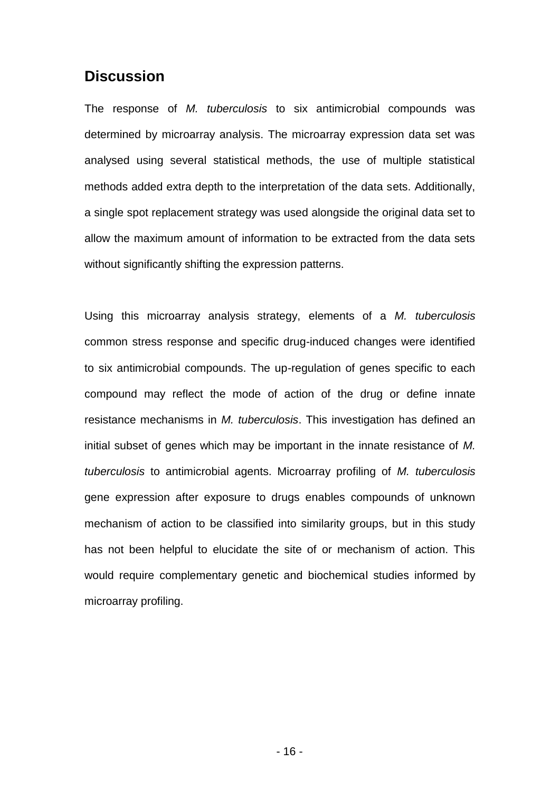# **Discussion**

The response of *M. tuberculosis* to six antimicrobial compounds was determined by microarray analysis. The microarray expression data set was analysed using several statistical methods, the use of multiple statistical methods added extra depth to the interpretation of the data sets. Additionally, a single spot replacement strategy was used alongside the original data set to allow the maximum amount of information to be extracted from the data sets without significantly shifting the expression patterns.

Using this microarray analysis strategy, elements of a *M. tuberculosis* common stress response and specific drug-induced changes were identified to six antimicrobial compounds. The up-regulation of genes specific to each compound may reflect the mode of action of the drug or define innate resistance mechanisms in *M. tuberculosis*. This investigation has defined an initial subset of genes which may be important in the innate resistance of *M. tuberculosis* to antimicrobial agents. Microarray profiling of *M. tuberculosis* gene expression after exposure to drugs enables compounds of unknown mechanism of action to be classified into similarity groups, but in this study has not been helpful to elucidate the site of or mechanism of action. This would require complementary genetic and biochemical studies informed by microarray profiling.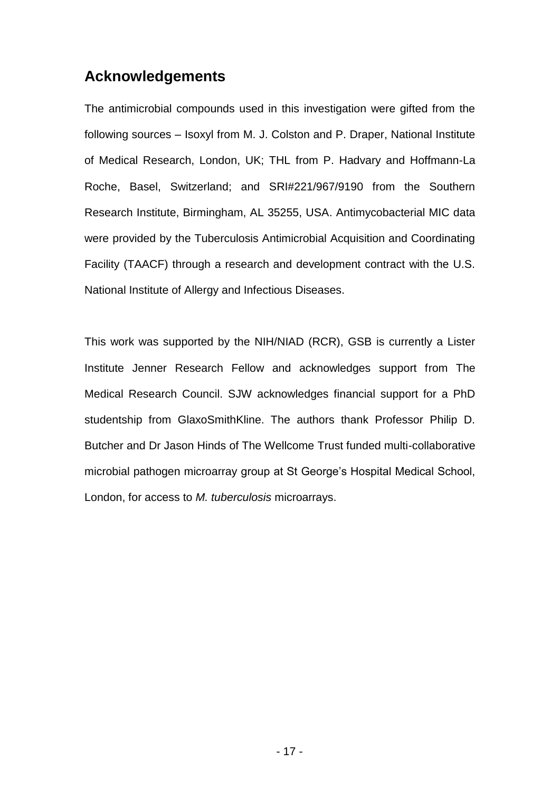# **Acknowledgements**

The antimicrobial compounds used in this investigation were gifted from the following sources – Isoxyl from M. J. Colston and P. Draper, National Institute of Medical Research, London, UK; THL from P. Hadvary and Hoffmann-La Roche, Basel, Switzerland; and SRI#221/967/9190 from the Southern Research Institute, Birmingham, AL 35255, USA. Antimycobacterial MIC data were provided by the Tuberculosis Antimicrobial Acquisition and Coordinating Facility (TAACF) through a research and development contract with the U.S. National Institute of Allergy and Infectious Diseases.

This work was supported by the NIH/NIAD (RCR), GSB is currently a Lister Institute Jenner Research Fellow and acknowledges support from The Medical Research Council. SJW acknowledges financial support for a PhD studentship from GlaxoSmithKline. The authors thank Professor Philip D. Butcher and Dr Jason Hinds of The Wellcome Trust funded multi-collaborative microbial pathogen microarray group at St George's Hospital Medical School, London, for access to *M. tuberculosis* microarrays.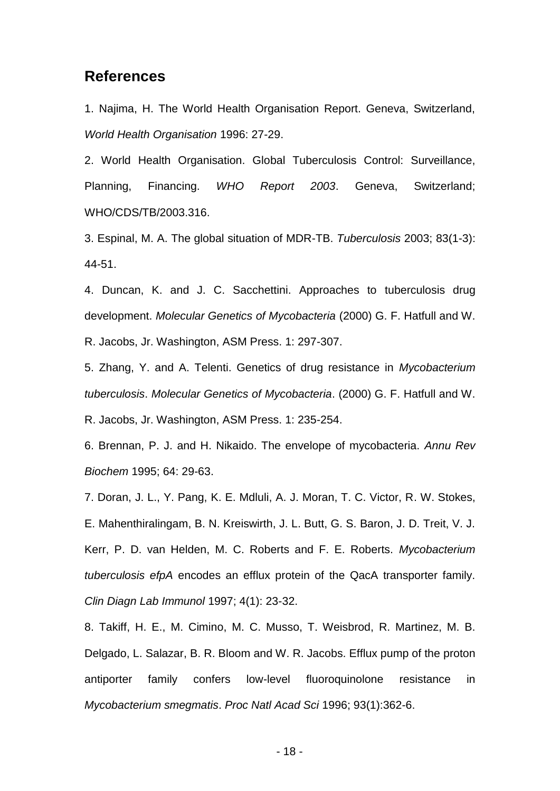### **References**

1. Najima, H. The World Health Organisation Report. Geneva, Switzerland, *World Health Organisation* 1996: 27-29.

2. World Health Organisation. Global Tuberculosis Control: Surveillance, Planning, Financing. *WHO Report 2003*. Geneva, Switzerland; WHO/CDS/TB/2003.316.

3. Espinal, M. A. The global situation of MDR-TB. *Tuberculosis* 2003; 83(1-3): 44-51.

4. Duncan, K. and J. C. Sacchettini. Approaches to tuberculosis drug development. *Molecular Genetics of Mycobacteria* (2000) G. F. Hatfull and W. R. Jacobs, Jr. Washington, ASM Press. 1: 297-307.

5. Zhang, Y. and A. Telenti. Genetics of drug resistance in *Mycobacterium tuberculosis*. *Molecular Genetics of Mycobacteria*. (2000) G. F. Hatfull and W. R. Jacobs, Jr. Washington, ASM Press. 1: 235-254.

6. Brennan, P. J. and H. Nikaido. The envelope of mycobacteria. *Annu Rev Biochem* 1995; 64: 29-63.

7. Doran, J. L., Y. Pang, K. E. Mdluli, A. J. Moran, T. C. Victor, R. W. Stokes, E. Mahenthiralingam, B. N. Kreiswirth, J. L. Butt, G. S. Baron, J. D. Treit, V. J. Kerr, P. D. van Helden, M. C. Roberts and F. E. Roberts. *Mycobacterium tuberculosis efpA* encodes an efflux protein of the QacA transporter family. *Clin Diagn Lab Immunol* 1997; 4(1): 23-32.

8. Takiff, H. E., M. Cimino, M. C. Musso, T. Weisbrod, R. Martinez, M. B. Delgado, L. Salazar, B. R. Bloom and W. R. Jacobs. Efflux pump of the proton antiporter family confers low-level fluoroquinolone resistance in *Mycobacterium smegmatis*. *Proc Natl Acad Sci* 1996; 93(1):362-6.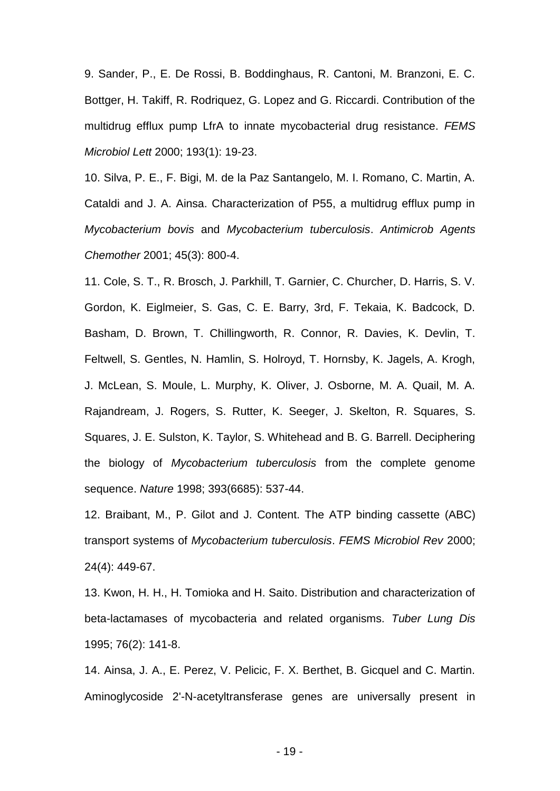9. Sander, P., E. De Rossi, B. Boddinghaus, R. Cantoni, M. Branzoni, E. C. Bottger, H. Takiff, R. Rodriquez, G. Lopez and G. Riccardi. Contribution of the multidrug efflux pump LfrA to innate mycobacterial drug resistance. *FEMS Microbiol Lett* 2000; 193(1): 19-23.

10. Silva, P. E., F. Bigi, M. de la Paz Santangelo, M. I. Romano, C. Martin, A. Cataldi and J. A. Ainsa. Characterization of P55, a multidrug efflux pump in *Mycobacterium bovis* and *Mycobacterium tuberculosis*. *Antimicrob Agents Chemother* 2001; 45(3): 800-4.

11. Cole, S. T., R. Brosch, J. Parkhill, T. Garnier, C. Churcher, D. Harris, S. V. Gordon, K. Eiglmeier, S. Gas, C. E. Barry, 3rd, F. Tekaia, K. Badcock, D. Basham, D. Brown, T. Chillingworth, R. Connor, R. Davies, K. Devlin, T. Feltwell, S. Gentles, N. Hamlin, S. Holroyd, T. Hornsby, K. Jagels, A. Krogh, J. McLean, S. Moule, L. Murphy, K. Oliver, J. Osborne, M. A. Quail, M. A. Rajandream, J. Rogers, S. Rutter, K. Seeger, J. Skelton, R. Squares, S. Squares, J. E. Sulston, K. Taylor, S. Whitehead and B. G. Barrell. Deciphering the biology of *Mycobacterium tuberculosis* from the complete genome sequence. *Nature* 1998; 393(6685): 537-44.

12. Braibant, M., P. Gilot and J. Content. The ATP binding cassette (ABC) transport systems of *Mycobacterium tuberculosis*. *FEMS Microbiol Rev* 2000; 24(4): 449-67.

13. Kwon, H. H., H. Tomioka and H. Saito. Distribution and characterization of beta-lactamases of mycobacteria and related organisms. *Tuber Lung Dis* 1995; 76(2): 141-8.

14. Ainsa, J. A., E. Perez, V. Pelicic, F. X. Berthet, B. Gicquel and C. Martin. Aminoglycoside 2'-N-acetyltransferase genes are universally present in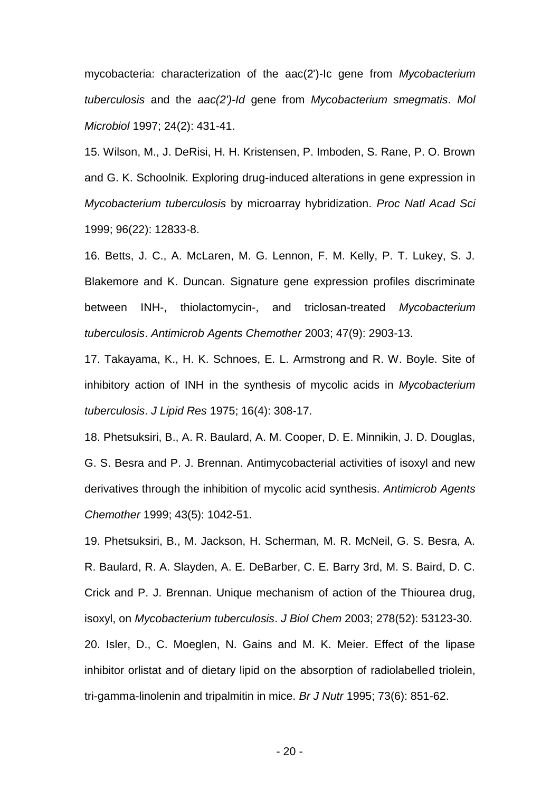mycobacteria: characterization of the aac(2')-Ic gene from *Mycobacterium tuberculosis* and the *aac(2')-Id* gene from *Mycobacterium smegmatis*. *Mol Microbiol* 1997; 24(2): 431-41.

15. Wilson, M., J. DeRisi, H. H. Kristensen, P. Imboden, S. Rane, P. O. Brown and G. K. Schoolnik. Exploring drug-induced alterations in gene expression in *Mycobacterium tuberculosis* by microarray hybridization. *Proc Natl Acad Sci* 1999; 96(22): 12833-8.

16. Betts, J. C., A. McLaren, M. G. Lennon, F. M. Kelly, P. T. Lukey, S. J. Blakemore and K. Duncan. Signature gene expression profiles discriminate between INH-, thiolactomycin-, and triclosan-treated *Mycobacterium tuberculosis*. *Antimicrob Agents Chemother* 2003; 47(9): 2903-13.

17. Takayama, K., H. K. Schnoes, E. L. Armstrong and R. W. Boyle. Site of inhibitory action of INH in the synthesis of mycolic acids in *Mycobacterium tuberculosis*. *J Lipid Res* 1975; 16(4): 308-17.

18. Phetsuksiri, B., A. R. Baulard, A. M. Cooper, D. E. Minnikin, J. D. Douglas, G. S. Besra and P. J. Brennan. Antimycobacterial activities of isoxyl and new derivatives through the inhibition of mycolic acid synthesis. *Antimicrob Agents Chemother* 1999; 43(5): 1042-51.

19. Phetsuksiri, B., M. Jackson, H. Scherman, M. R. McNeil, G. S. Besra, A. R. Baulard, R. A. Slayden, A. E. DeBarber, C. E. Barry 3rd, M. S. Baird, D. C. Crick and P. J. Brennan. Unique mechanism of action of the Thiourea drug, isoxyl, on *Mycobacterium tuberculosis*. *J Biol Chem* 2003; 278(52): 53123-30. 20. Isler, D., C. Moeglen, N. Gains and M. K. Meier. Effect of the lipase

inhibitor orlistat and of dietary lipid on the absorption of radiolabelled triolein, tri-gamma-linolenin and tripalmitin in mice. *Br J Nutr* 1995; 73(6): 851-62.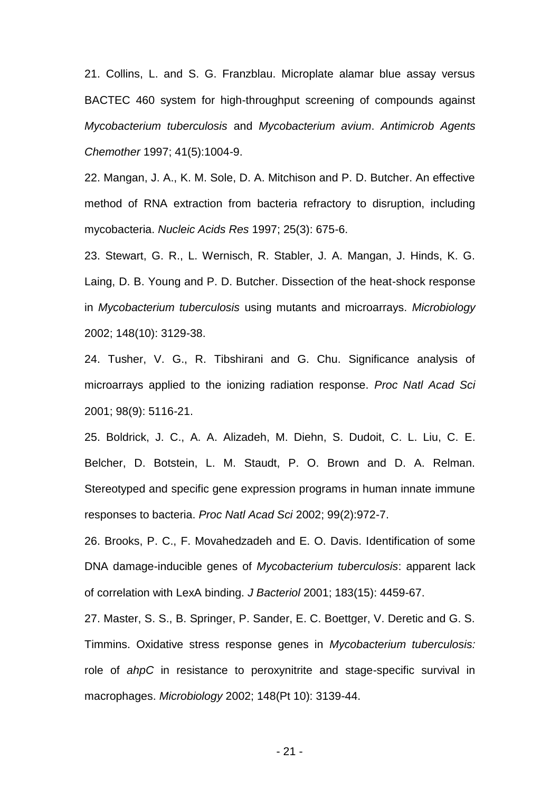21. Collins, L. and S. G. Franzblau. Microplate alamar blue assay versus BACTEC 460 system for high-throughput screening of compounds against *Mycobacterium tuberculosis* and *Mycobacterium avium*. *Antimicrob Agents Chemother* 1997; 41(5):1004-9.

22. Mangan, J. A., K. M. Sole, D. A. Mitchison and P. D. Butcher. An effective method of RNA extraction from bacteria refractory to disruption, including mycobacteria. *Nucleic Acids Res* 1997; 25(3): 675-6.

23. Stewart, G. R., L. Wernisch, R. Stabler, J. A. Mangan, J. Hinds, K. G. Laing, D. B. Young and P. D. Butcher. Dissection of the heat-shock response in *Mycobacterium tuberculosis* using mutants and microarrays. *Microbiology* 2002; 148(10): 3129-38.

24. Tusher, V. G., R. Tibshirani and G. Chu. Significance analysis of microarrays applied to the ionizing radiation response. *Proc Natl Acad Sci* 2001; 98(9): 5116-21.

25. Boldrick, J. C., A. A. Alizadeh, M. Diehn, S. Dudoit, C. L. Liu, C. E. Belcher, D. Botstein, L. M. Staudt, P. O. Brown and D. A. Relman. Stereotyped and specific gene expression programs in human innate immune responses to bacteria. *Proc Natl Acad Sci* 2002; 99(2):972-7.

26. Brooks, P. C., F. Movahedzadeh and E. O. Davis. Identification of some DNA damage-inducible genes of *Mycobacterium tuberculosis*: apparent lack of correlation with LexA binding. *J Bacteriol* 2001; 183(15): 4459-67.

27. Master, S. S., B. Springer, P. Sander, E. C. Boettger, V. Deretic and G. S. Timmins. Oxidative stress response genes in *Mycobacterium tuberculosis:* role of *ahpC* in resistance to peroxynitrite and stage-specific survival in macrophages. *Microbiology* 2002; 148(Pt 10): 3139-44.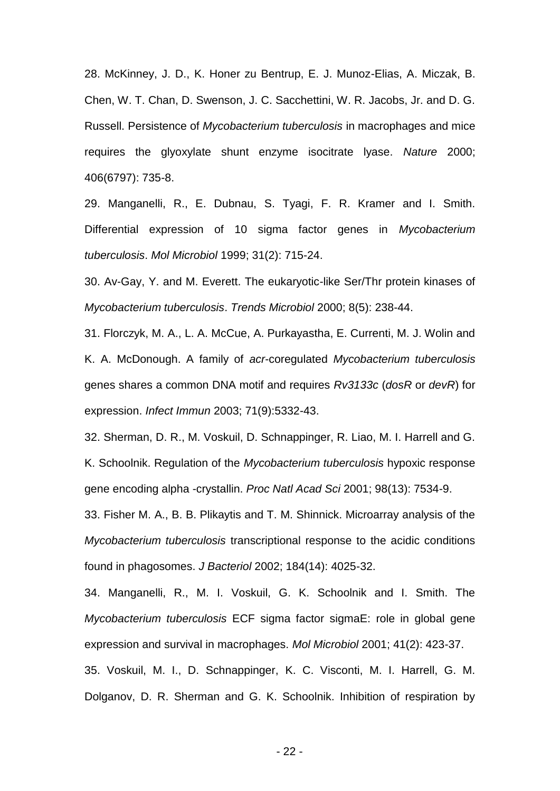28. McKinney, J. D., K. Honer zu Bentrup, E. J. Munoz-Elias, A. Miczak, B. Chen, W. T. Chan, D. Swenson, J. C. Sacchettini, W. R. Jacobs, Jr. and D. G. Russell. Persistence of *Mycobacterium tuberculosis* in macrophages and mice requires the glyoxylate shunt enzyme isocitrate lyase. *Nature* 2000; 406(6797): 735-8.

29. Manganelli, R., E. Dubnau, S. Tyagi, F. R. Kramer and I. Smith. Differential expression of 10 sigma factor genes in *Mycobacterium tuberculosis*. *Mol Microbiol* 1999; 31(2): 715-24.

30. Av-Gay, Y. and M. Everett. The eukaryotic-like Ser/Thr protein kinases of *Mycobacterium tuberculosis*. *Trends Microbiol* 2000; 8(5): 238-44.

31. Florczyk, M. A., L. A. McCue, A. Purkayastha, E. Currenti, M. J. Wolin and K. A. McDonough. A family of *acr*-coregulated *Mycobacterium tuberculosis* genes shares a common DNA motif and requires *Rv3133c* (*dosR* or *devR*) for expression. *Infect Immun* 2003; 71(9):5332-43.

32. Sherman, D. R., M. Voskuil, D. Schnappinger, R. Liao, M. I. Harrell and G. K. Schoolnik. Regulation of the *Mycobacterium tuberculosis* hypoxic response gene encoding alpha -crystallin. *Proc Natl Acad Sci* 2001; 98(13): 7534-9.

33. Fisher M. A., B. B. Plikaytis and T. M. Shinnick. Microarray analysis of the *Mycobacterium tuberculosis* transcriptional response to the acidic conditions found in phagosomes. *J Bacteriol* 2002; 184(14): 4025-32.

34. Manganelli, R., M. I. Voskuil, G. K. Schoolnik and I. Smith. The *Mycobacterium tuberculosis* ECF sigma factor sigmaE: role in global gene expression and survival in macrophages. *Mol Microbiol* 2001; 41(2): 423-37. 35. Voskuil, M. I., D. Schnappinger, K. C. Visconti, M. I. Harrell, G. M. Dolganov, D. R. Sherman and G. K. Schoolnik. Inhibition of respiration by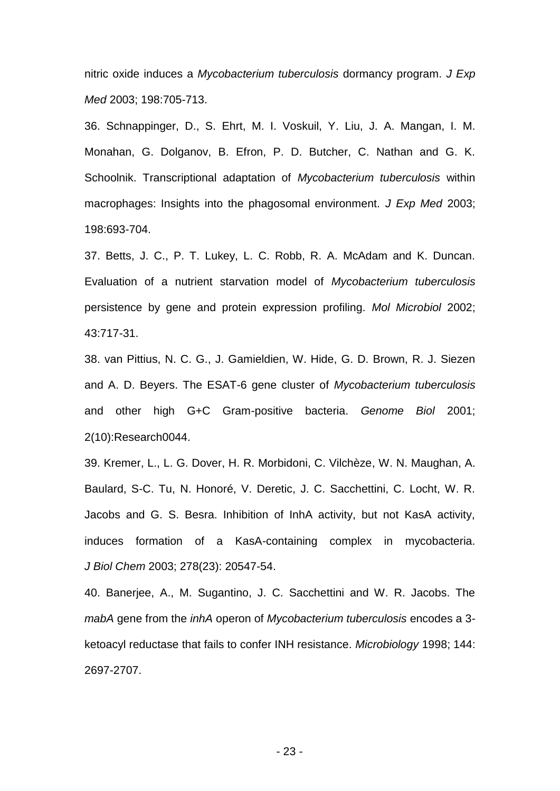nitric oxide induces a *Mycobacterium tuberculosis* dormancy program. *J Exp Med* 2003; 198:705-713.

36. Schnappinger, D., S. Ehrt, M. I. Voskuil, Y. Liu, J. A. Mangan, I. M. Monahan, G. Dolganov, B. Efron, P. D. Butcher, C. Nathan and G. K. Schoolnik. Transcriptional adaptation of *Mycobacterium tuberculosis* within macrophages: Insights into the phagosomal environment. *J Exp Med* 2003; 198:693-704.

37. Betts, J. C., P. T. Lukey, L. C. Robb, R. A. McAdam and K. Duncan. Evaluation of a nutrient starvation model of *Mycobacterium tuberculosis* persistence by gene and protein expression profiling. *Mol Microbiol* 2002; 43:717-31.

38. van Pittius, N. C. G., J. Gamieldien, W. Hide, G. D. Brown, R. J. Siezen and A. D. Beyers. The ESAT-6 gene cluster of *Mycobacterium tuberculosis* and other high G+C Gram-positive bacteria. *Genome Biol* 2001; 2(10):Research0044.

39. Kremer, L., L. G. Dover, H. R. Morbidoni, C. Vilchèze, W. N. Maughan, A. Baulard, S-C. Tu, N. Honoré, V. Deretic, J. C. Sacchettini, C. Locht, W. R. Jacobs and G. S. Besra. Inhibition of InhA activity, but not KasA activity, induces formation of a KasA-containing complex in mycobacteria. *J Biol Chem* 2003; 278(23): 20547-54.

40. Banerjee, A., M. Sugantino, J. C. Sacchettini and W. R. Jacobs. The *mabA* gene from the *inhA* operon of *Mycobacterium tuberculosis* encodes a 3 ketoacyl reductase that fails to confer INH resistance. *Microbiology* 1998; 144: 2697-2707.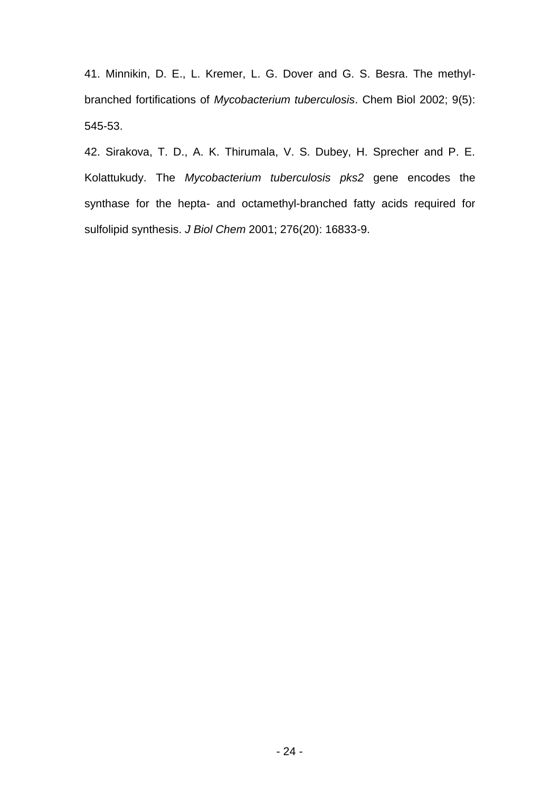41. Minnikin, D. E., L. Kremer, L. G. Dover and G. S. Besra. The methylbranched fortifications of *Mycobacterium tuberculosis*. Chem Biol 2002; 9(5): 545-53.

42. Sirakova, T. D., A. K. Thirumala, V. S. Dubey, H. Sprecher and P. E. Kolattukudy. The *Mycobacterium tuberculosis pks2* gene encodes the synthase for the hepta- and octamethyl-branched fatty acids required for sulfolipid synthesis. *J Biol Chem* 2001; 276(20): 16833-9.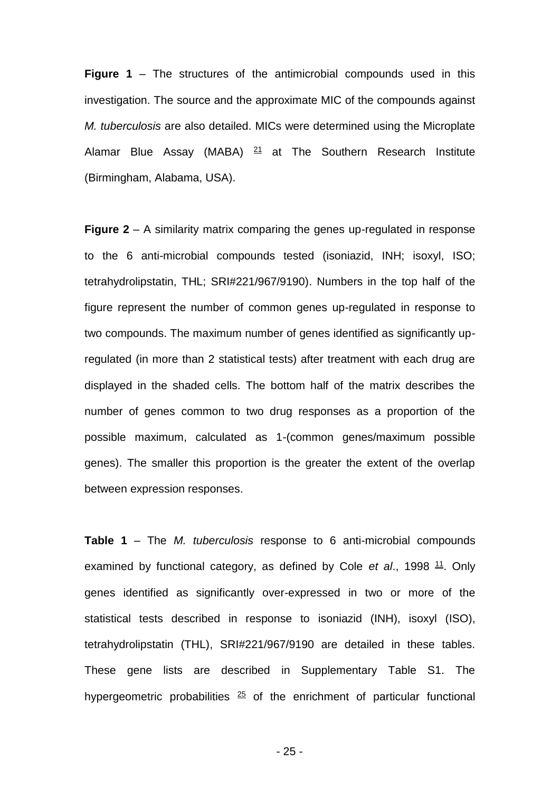**Figure 1** – The structures of the antimicrobial compounds used in this investigation. The source and the approximate MIC of the compounds against *M. tuberculosis* are also detailed. MICs were determined using the Microplate Alamar Blue Assay (MABA)  $21$  at The Southern Research Institute (Birmingham, Alabama, USA).

**Figure 2** – A similarity matrix comparing the genes up-regulated in response to the 6 anti-microbial compounds tested (isoniazid, INH; isoxyl, ISO; tetrahydrolipstatin, THL; SRI#221/967/9190). Numbers in the top half of the figure represent the number of common genes up-regulated in response to two compounds. The maximum number of genes identified as significantly upregulated (in more than 2 statistical tests) after treatment with each drug are displayed in the shaded cells. The bottom half of the matrix describes the number of genes common to two drug responses as a proportion of the possible maximum, calculated as 1-(common genes/maximum possible genes). The smaller this proportion is the greater the extent of the overlap between expression responses.

**Table 1** – The *M. tuberculosis* response to 6 anti-microbial compounds examined by functional category, as defined by Cole et al., 1998 <sup>11</sup>. Only genes identified as significantly over-expressed in two or more of the statistical tests described in response to isoniazid (INH), isoxyl (ISO), tetrahydrolipstatin (THL), SRI#221/967/9190 are detailed in these tables. These gene lists are described in Supplementary Table S1. The hypergeometric probabilities  $25$  of the enrichment of particular functional

- 25 -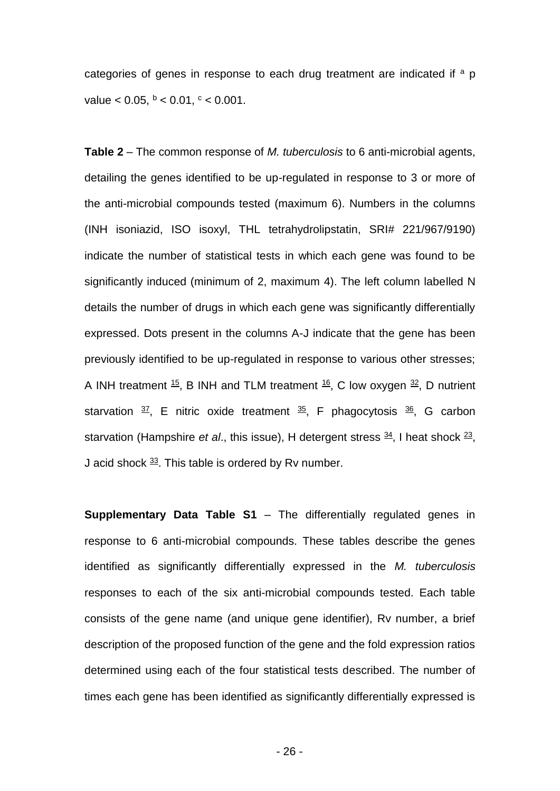categories of genes in response to each drug treatment are indicated if  $a$  p value  $< 0.05$ ,  $<sup>b</sup> < 0.01$ ,  $<sup>c</sup> < 0.001$ .</sup></sup>

**Table 2** – The common response of *M. tuberculosis* to 6 anti-microbial agents, detailing the genes identified to be up-regulated in response to 3 or more of the anti-microbial compounds tested (maximum 6). Numbers in the columns (INH isoniazid, ISO isoxyl, THL tetrahydrolipstatin, SRI# 221/967/9190) indicate the number of statistical tests in which each gene was found to be significantly induced (minimum of 2, maximum 4). The left column labelled N details the number of drugs in which each gene was significantly differentially expressed. Dots present in the columns A-J indicate that the gene has been previously identified to be up-regulated in response to various other stresses; A INH treatment  $\frac{15}{5}$ , B INH and TLM treatment  $\frac{16}{5}$ , C low oxygen  $\frac{32}{5}$ , D nutrient starvation  $\frac{37}{2}$ , E nitric oxide treatment  $\frac{35}{2}$ , F phagocytosis  $\frac{36}{2}$ , G carbon starvation (Hampshire *et al.*, this issue), H detergent stress  $\frac{34}{2}$ , I heat shock  $\frac{23}{2}$ , J acid shock  $\frac{33}{2}$ . This table is ordered by Rv number.

**Supplementary Data Table S1** – The differentially regulated genes in response to 6 anti-microbial compounds. These tables describe the genes identified as significantly differentially expressed in the *M. tuberculosis* responses to each of the six anti-microbial compounds tested. Each table consists of the gene name (and unique gene identifier), Rv number, a brief description of the proposed function of the gene and the fold expression ratios determined using each of the four statistical tests described. The number of times each gene has been identified as significantly differentially expressed is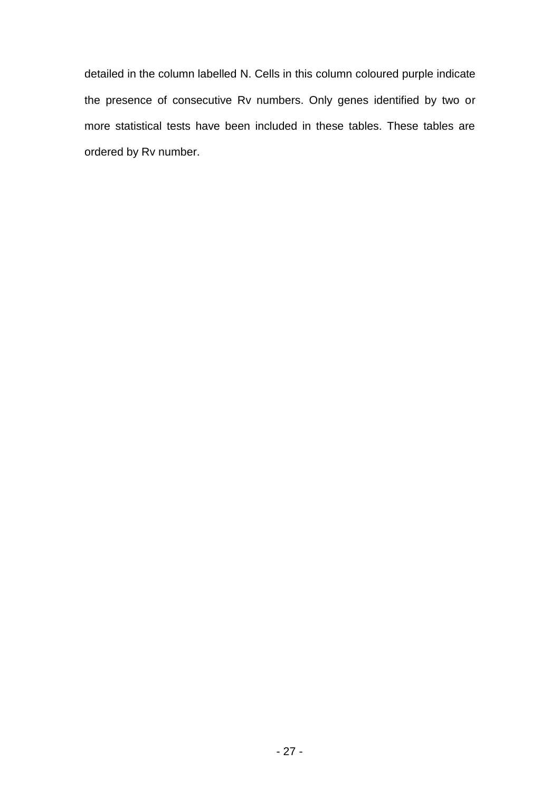detailed in the column labelled N. Cells in this column coloured purple indicate the presence of consecutive Rv numbers. Only genes identified by two or more statistical tests have been included in these tables. These tables are ordered by Rv number.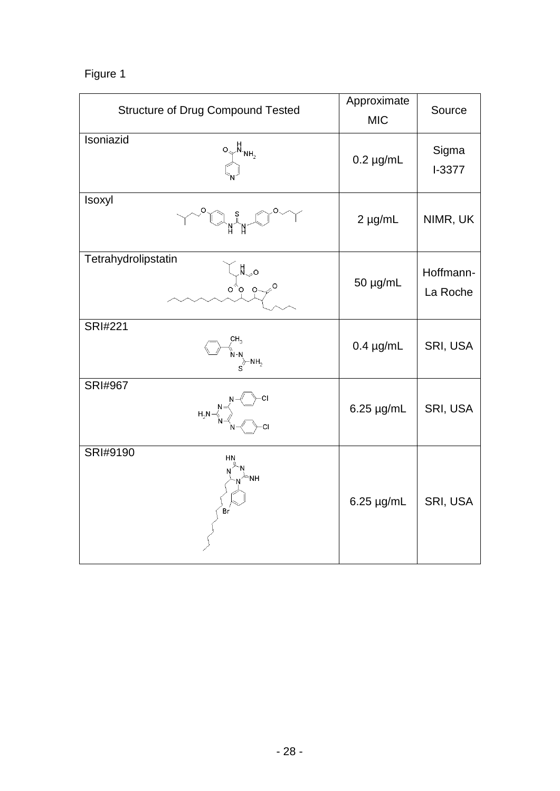# Figure 1

| <b>Structure of Drug Compound Tested</b>                                                                                                                                                                                                                                                                                                                      | Approximate<br><b>MIC</b> | Source                |
|---------------------------------------------------------------------------------------------------------------------------------------------------------------------------------------------------------------------------------------------------------------------------------------------------------------------------------------------------------------|---------------------------|-----------------------|
| Isoniazid<br>$\begin{bmatrix} 0 & N_{NH_2} \\ N_{NH_2} & N_{NH_2} \end{bmatrix}$                                                                                                                                                                                                                                                                              | $0.2 \mu g/mL$            | Sigma<br>$I-3377$     |
| Isoxyl<br>$\begin{picture}(180,10) \put(0,0){\line(1,0){10}} \put(15,0){\line(1,0){10}} \put(15,0){\line(1,0){10}} \put(15,0){\line(1,0){10}} \put(15,0){\line(1,0){10}} \put(15,0){\line(1,0){10}} \put(15,0){\line(1,0){10}} \put(15,0){\line(1,0){10}} \put(15,0){\line(1,0){10}} \put(15,0){\line(1,0){10}} \put(15,0){\line(1,0){10}} \put(15,0){\line($ | $2 \mu g/mL$              | NIMR, UK              |
| Tetrahydrolipstatin<br>$\begin{bmatrix} \n\pi & 0 \\ \n\pi & 0 \\ \n\pi & 0 \n\end{bmatrix}$                                                                                                                                                                                                                                                                  | 50 µg/mL                  | Hoffmann-<br>La Roche |
| <b>SRI#221</b><br>$\begin{array}{cc}\n\sum_{1,3} \\ N-N \\ \sum_{1,4} \\ \sum_{2,5} \\ \end{array}$                                                                                                                                                                                                                                                           | $0.4 \mu g/mL$            | SRI, USA              |
| <b>SRI#967</b>                                                                                                                                                                                                                                                                                                                                                | $6.25 \mu g/mL$           | SRI, USA              |
| SRI#9190<br>∖⊱мн<br>Br                                                                                                                                                                                                                                                                                                                                        | $6.25 \mu g/mL$           | SRI, USA              |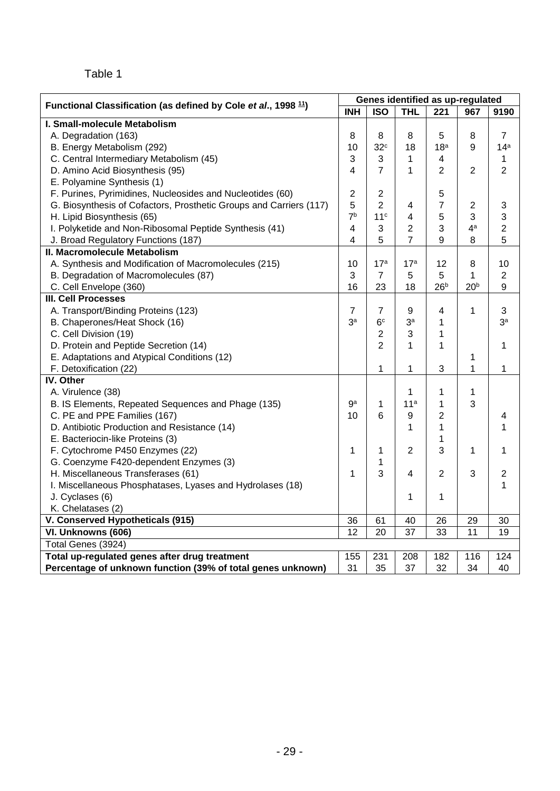# Table 1

| Functional Classification (as defined by Cole et al., 1998 <sup>11</sup> ) | Genes identified as up-regulated |                 |                 |                           |                 |                 |  |  |  |  |  |
|----------------------------------------------------------------------------|----------------------------------|-----------------|-----------------|---------------------------|-----------------|-----------------|--|--|--|--|--|
|                                                                            | <b>INH</b>                       | <b>ISO</b>      | <b>THL</b>      | 221                       | 967             | 9190            |  |  |  |  |  |
| I. Small-molecule Metabolism                                               |                                  |                 |                 |                           |                 |                 |  |  |  |  |  |
| A. Degradation (163)                                                       | 8                                | 8               | 8               | 5                         | 8               | $\overline{7}$  |  |  |  |  |  |
| B. Energy Metabolism (292)                                                 | 10                               | 32 <sup>c</sup> | 18              | 18 <sup>a</sup>           | 9               | 14 <sup>a</sup> |  |  |  |  |  |
| C. Central Intermediary Metabolism (45)                                    | 3                                | 3               | 1               | $\overline{4}$            |                 | $\mathbf{1}$    |  |  |  |  |  |
| D. Amino Acid Biosynthesis (95)                                            | 4                                | $\overline{7}$  | 1               | $\overline{2}$            | $\overline{2}$  | $\overline{2}$  |  |  |  |  |  |
| E. Polyamine Synthesis (1)                                                 |                                  |                 |                 |                           |                 |                 |  |  |  |  |  |
| F. Purines, Pyrimidines, Nucleosides and Nucleotides (60)                  | $\overline{2}$                   | $\overline{2}$  |                 | 5                         |                 |                 |  |  |  |  |  |
| G. Biosynthesis of Cofactors, Prosthetic Groups and Carriers (117)         | 5                                | 2               | 4               | $\overline{7}$            | $\overline{c}$  | 3               |  |  |  |  |  |
| H. Lipid Biosynthesis (65)                                                 | 7 <sup>b</sup>                   | 11 <sup>c</sup> | 4               | 5                         | 3               | 3               |  |  |  |  |  |
| I. Polyketide and Non-Ribosomal Peptide Synthesis (41)                     | $\overline{\mathbf{4}}$          | $\mathbf{3}$    | $\overline{2}$  | 3                         | 4 <sup>a</sup>  | $\overline{2}$  |  |  |  |  |  |
| J. Broad Regulatory Functions (187)                                        | 4                                | 5               | $\overline{7}$  | 9                         | 8               | 5               |  |  |  |  |  |
| II. Macromolecule Metabolism                                               |                                  |                 |                 |                           |                 |                 |  |  |  |  |  |
| A. Synthesis and Modification of Macromolecules (215)                      | 10                               | 17 <sup>a</sup> | 17 <sup>a</sup> | 12                        | 8               | 10              |  |  |  |  |  |
| B. Degradation of Macromolecules (87)                                      | 3                                | $\overline{7}$  | 5               | 5                         | $\mathbf{1}$    | $\overline{2}$  |  |  |  |  |  |
| C. Cell Envelope (360)                                                     | 16                               | 23              | 18              | 26 <sup>b</sup>           | 20 <sup>b</sup> | 9               |  |  |  |  |  |
| <b>III. Cell Processes</b>                                                 |                                  |                 |                 |                           |                 |                 |  |  |  |  |  |
| A. Transport/Binding Proteins (123)                                        | $\overline{7}$                   | $\overline{7}$  | 9               | 4                         | 1               | 3               |  |  |  |  |  |
| B. Chaperones/Heat Shock (16)                                              | 3 <sup>a</sup>                   | 6 <sup>c</sup>  | 3a              | 1                         |                 | 3 <sup>a</sup>  |  |  |  |  |  |
| C. Cell Division (19)                                                      |                                  | $\overline{2}$  | 3               | 1                         |                 |                 |  |  |  |  |  |
| D. Protein and Peptide Secretion (14)                                      |                                  | $\overline{2}$  | 1               | 1                         |                 | 1               |  |  |  |  |  |
| E. Adaptations and Atypical Conditions (12)                                |                                  |                 |                 |                           | 1               |                 |  |  |  |  |  |
| F. Detoxification (22)                                                     |                                  | 1               | 1               | $\ensuremath{\mathsf{3}}$ | $\mathbf{1}$    | 1               |  |  |  |  |  |
| IV. Other                                                                  |                                  |                 |                 |                           |                 |                 |  |  |  |  |  |
| A. Virulence (38)                                                          |                                  |                 | 1               | 1                         | 1               |                 |  |  |  |  |  |
| B. IS Elements, Repeated Sequences and Phage (135)                         | gа                               | 1               | 11 <sup>a</sup> | 1                         | 3               |                 |  |  |  |  |  |
| C. PE and PPE Families (167)                                               | 10                               | 6               | 9               | $\overline{2}$            |                 | 4               |  |  |  |  |  |
| D. Antibiotic Production and Resistance (14)                               |                                  |                 | 1               | 1                         |                 | 1               |  |  |  |  |  |
| E. Bacteriocin-like Proteins (3)                                           |                                  |                 |                 | 1                         |                 |                 |  |  |  |  |  |
| F. Cytochrome P450 Enzymes (22)                                            | 1                                | 1               | $\overline{2}$  | 3                         | 1               | 1               |  |  |  |  |  |
| G. Coenzyme F420-dependent Enzymes (3)                                     |                                  | 1               |                 |                           |                 |                 |  |  |  |  |  |
| H. Miscellaneous Transferases (61)                                         | 1                                | 3               | 4               | $\overline{2}$            | 3               | $\overline{c}$  |  |  |  |  |  |
| I. Miscellaneous Phosphatases, Lyases and Hydrolases (18)                  |                                  |                 |                 |                           |                 | 1               |  |  |  |  |  |
| J. Cyclases (6)                                                            |                                  |                 | 1               | 1                         |                 |                 |  |  |  |  |  |
| K. Chelatases (2)                                                          |                                  |                 |                 |                           |                 |                 |  |  |  |  |  |
| V. Conserved Hypotheticals (915)                                           | 36                               | 61              | 40              | 26                        | 29              | 30              |  |  |  |  |  |
| VI. Unknowns (606)                                                         | 12                               | 20              | 37              | 33                        | 11              | 19              |  |  |  |  |  |
| Total Genes (3924)                                                         |                                  |                 |                 |                           |                 |                 |  |  |  |  |  |
| Total up-regulated genes after drug treatment                              | 155                              | 231             | 208             | 182                       | 116             | 124             |  |  |  |  |  |
| Percentage of unknown function (39% of total genes unknown)                | 31                               | 35              | 37              | 32                        | 34              | 40              |  |  |  |  |  |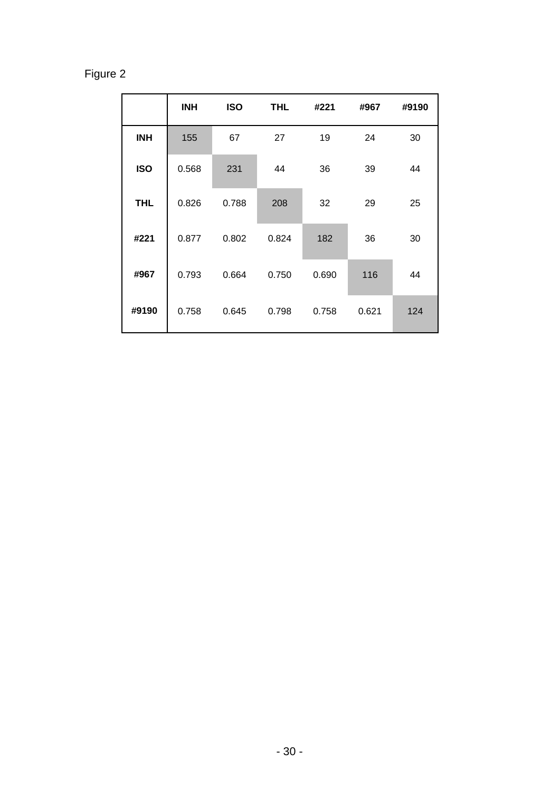# Figure 2

|            | <b>INH</b> | <b>ISO</b> | <b>THL</b> | #221  | #967  | #9190 |
|------------|------------|------------|------------|-------|-------|-------|
| <b>INH</b> | 155        | 67         | 27         | 19    | 24    | 30    |
| <b>ISO</b> | 0.568      | 231        | 44         | 36    | 39    | 44    |
| <b>THL</b> | 0.826      | 0.788      | 208        | 32    | 29    | 25    |
| #221       | 0.877      | 0.802      | 0.824      | 182   | 36    | 30    |
| #967       | 0.793      | 0.664      | 0.750      | 0.690 | 116   | 44    |
| #9190      | 0.758      | 0.645      | 0.798      | 0.758 | 0.621 | 124   |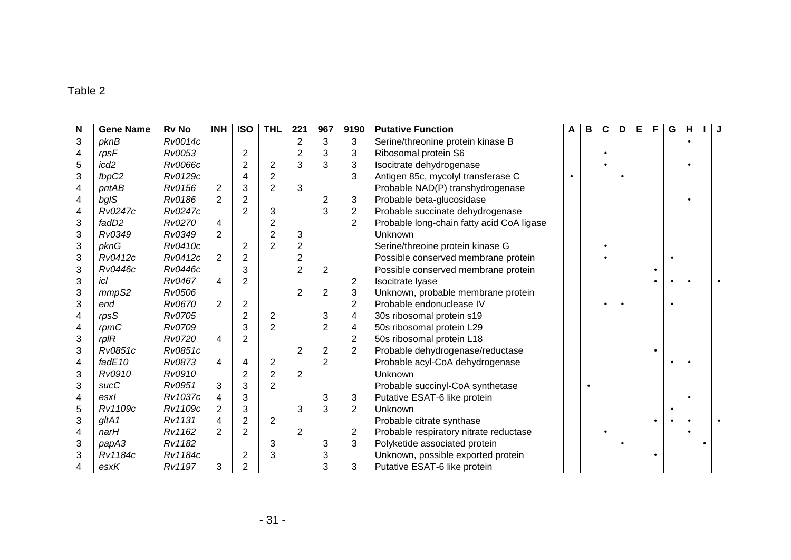# Table 2

| N | <b>Gene Name</b> | <b>Rv No</b> | <b>INH</b>     | <b>ISO</b>     | <b>THL</b>     | 221            | 967            | 9190                    | <b>Putative Function</b>                  | $\mathsf{A}$ | $\mathbf{B}$ | $\mathbf c$ | D         | E | F         | ${\bf G}$ | н |  |
|---|------------------|--------------|----------------|----------------|----------------|----------------|----------------|-------------------------|-------------------------------------------|--------------|--------------|-------------|-----------|---|-----------|-----------|---|--|
| 3 | pknB             | Rv0014c      |                |                |                | $\overline{2}$ | 3              | 3                       | Serine/threonine protein kinase B         |              |              |             |           |   |           |           |   |  |
| 4 | rpsF             | Rv0053       |                | $\overline{2}$ |                | $\overline{2}$ | 3              | 3                       | Ribosomal protein S6                      |              |              |             |           |   |           |           |   |  |
| 5 | icd <sub>2</sub> | Rv0066c      |                | $\overline{2}$ | $\overline{2}$ | 3              | 3              | 3                       | Isocitrate dehydrogenase                  |              |              |             |           |   |           |           |   |  |
| 3 | fbpC2            | Rv0129c      |                | 4              | $\overline{2}$ |                |                | 3                       | Antigen 85c, mycolyl transferase C        |              |              |             |           |   |           |           |   |  |
| 4 | pntAB            | Rv0156       | $\overline{2}$ | 3              | $\overline{2}$ | 3              |                |                         | Probable NAD(P) transhydrogenase          |              |              |             |           |   |           |           |   |  |
| 4 | bgIS             | Rv0186       | $\overline{2}$ | $\overline{2}$ |                |                | $\overline{2}$ | 3                       | Probable beta-glucosidase                 |              |              |             |           |   |           |           |   |  |
| 4 | Rv0247c          | Rv0247c      |                | $\overline{2}$ | 3              |                | 3              | $\overline{c}$          | Probable succinate dehydrogenase          |              |              |             |           |   |           |           |   |  |
| 3 | fadD2            | Rv0270       | 4              |                | $\overline{2}$ |                |                | $\overline{2}$          | Probable long-chain fatty acid CoA ligase |              |              |             |           |   |           |           |   |  |
| 3 | Rv0349           | Rv0349       | $\overline{2}$ |                | $\overline{2}$ | 3              |                |                         | Unknown                                   |              |              |             |           |   |           |           |   |  |
| 3 | pknG             | Rv0410c      |                | $\overline{2}$ | $\overline{2}$ | $\overline{2}$ |                |                         | Serine/threoine protein kinase G          |              |              |             |           |   |           |           |   |  |
| 3 | Rv0412c          | Rv0412c      | $\overline{2}$ | $\overline{2}$ |                | $\overline{2}$ |                |                         | Possible conserved membrane protein       |              |              |             |           |   |           | $\bullet$ |   |  |
| 3 | Rv0446c          | Rv0446c      |                | 3              |                | $\overline{2}$ | $\overline{2}$ |                         | Possible conserved membrane protein       |              |              |             |           |   | $\bullet$ |           |   |  |
| 3 | icl              | Rv0467       | 4              | $\overline{2}$ |                |                |                | $\overline{2}$          | Isocitrate Iyase                          |              |              |             |           |   | $\bullet$ |           |   |  |
| 3 | mmpS2            | Rv0506       |                |                |                | $\overline{2}$ | $\overline{2}$ | 3                       | Unknown, probable membrane protein        |              |              |             |           |   |           |           |   |  |
| 3 | end              | Rv0670       | 2              | $\overline{2}$ |                |                |                | $\overline{2}$          | Probable endonuclease IV                  |              |              |             | $\bullet$ |   |           |           |   |  |
|   | rpsS             | Rv0705       |                | $\overline{2}$ | $\overline{2}$ |                | 3              | $\overline{\mathbf{4}}$ | 30s ribosomal protein s19                 |              |              |             |           |   |           |           |   |  |
| 4 | rpmC             | Rv0709       |                | 3              | $\overline{2}$ |                | $\overline{2}$ | $\overline{\mathbf{4}}$ | 50s ribosomal protein L29                 |              |              |             |           |   |           |           |   |  |
| 3 | $rp$ IR          | Rv0720       | 4              | $\overline{2}$ |                |                |                | $\overline{2}$          | 50s ribosomal protein L18                 |              |              |             |           |   |           |           |   |  |
| 3 | Rv0851c          | Rv0851c      |                |                |                | $\overline{2}$ | $\overline{2}$ | $\overline{2}$          | Probable dehydrogenase/reductase          |              |              |             |           |   | $\bullet$ |           |   |  |
| 4 | fadE10           | Rv0873       | 4              | 4              | $\overline{2}$ |                | $\overline{2}$ |                         | Probable acyl-CoA dehydrogenase           |              |              |             |           |   |           |           |   |  |
| 3 | Rv0910           | Rv0910       |                | $\overline{2}$ | $\overline{2}$ | $\overline{2}$ |                |                         | Unknown                                   |              |              |             |           |   |           |           |   |  |
| 3 | sucC             | Rv0951       | 3              | 3              | 2              |                |                |                         | Probable succinyl-CoA synthetase          |              |              |             |           |   |           |           |   |  |
| 4 | esxl             | Rv1037c      | 4              | 3              |                |                | 3              | 3                       | Putative ESAT-6 like protein              |              |              |             |           |   |           |           |   |  |
| 5 | Rv1109c          | Rv1109c      | $\overline{2}$ | 3              |                | 3              | 3              | $\overline{2}$          | Unknown                                   |              |              |             |           |   |           | $\bullet$ |   |  |
| 3 | gltA1            | Rv1131       | 4              | $\overline{2}$ | $\overline{2}$ |                |                |                         | Probable citrate synthase                 |              |              |             |           |   | $\bullet$ |           |   |  |
| 4 | narH             | Rv1162       | $\mathcal{P}$  | $\overline{2}$ |                | $\overline{2}$ |                | $\overline{2}$          | Probable respiratory nitrate reductase    |              |              | $\bullet$   |           |   |           |           |   |  |
| 3 | papA3            | Rv1182       |                |                | 3              |                | 3              | 3                       | Polyketide associated protein             |              |              |             |           |   |           |           |   |  |
| 3 | Rv1184c          | Rv1184c      |                | $\overline{2}$ | 3              |                | 3              |                         | Unknown, possible exported protein        |              |              |             |           |   | $\bullet$ |           |   |  |
|   | esxK             | Rv1197       | 3              | $\overline{2}$ |                |                | 3              | 3                       | Putative ESAT-6 like protein              |              |              |             |           |   |           |           |   |  |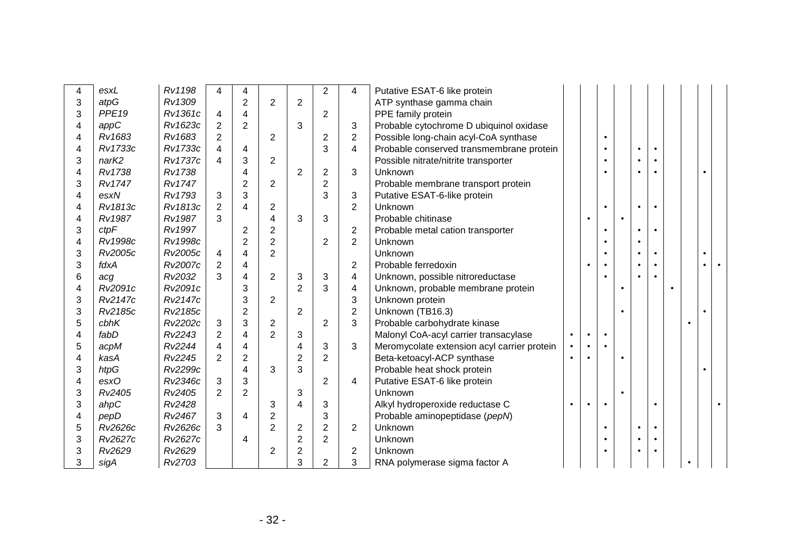| 4 | esxL              | Rv1198         | 4              | 4                        |                |                          | $\overline{2}$ | 4              | Putative ESAT-6 like protein                |           |           |           |           |           |  |  |  |
|---|-------------------|----------------|----------------|--------------------------|----------------|--------------------------|----------------|----------------|---------------------------------------------|-----------|-----------|-----------|-----------|-----------|--|--|--|
| 3 | atpG              | Rv1309         |                | $\overline{2}$           | $\overline{2}$ | $\overline{2}$           |                |                | ATP synthase gamma chain                    |           |           |           |           |           |  |  |  |
| 3 | PPE <sub>19</sub> | Rv1361c        | 4              | $\overline{4}$           |                |                          | 2              |                | PPE family protein                          |           |           |           |           |           |  |  |  |
| 4 | appC              | Rv1623c        | 2              | $\overline{2}$           |                | 3                        |                | 3              | Probable cytochrome D ubiquinol oxidase     |           |           |           |           |           |  |  |  |
| 4 | Rv1683            | Rv1683         | $\overline{2}$ |                          | 2              |                          | $\overline{c}$ | $\overline{2}$ | Possible long-chain acyl-CoA synthase       |           |           | $\bullet$ |           |           |  |  |  |
| 4 | Rv1733c           | Rv1733c        | 4              | 4                        |                |                          | 3              | 4              | Probable conserved transmembrane protein    |           |           |           |           |           |  |  |  |
| 3 | narK2             | <b>Rv1737c</b> | 4              | $\mathfrak{S}$           | $\overline{2}$ |                          |                |                | Possible nitrate/nitrite transporter        |           |           |           |           |           |  |  |  |
| 4 | Rv1738            | Rv1738         |                | $\overline{4}$           |                | $\overline{2}$           | $\overline{2}$ | 3              | Unknown                                     |           |           |           |           |           |  |  |  |
| 3 | Rv1747            | <b>Rv1747</b>  |                | $\overline{2}$           | $\overline{2}$ |                          | $\overline{2}$ |                | Probable membrane transport protein         |           |           |           |           |           |  |  |  |
| 4 | esxN              | Rv1793         | 3              | 3                        |                |                          | 3              | 3              | Putative ESAT-6-like protein                |           |           |           |           |           |  |  |  |
| 4 | Rv1813c           | Rv1813c        | 2              | $\overline{\mathcal{A}}$ | $\overline{2}$ |                          |                | $\overline{2}$ | Unknown                                     |           |           | $\bullet$ |           | $\bullet$ |  |  |  |
| 4 | <b>Rv1987</b>     | <b>Rv1987</b>  | 3              |                          | $\overline{4}$ | 3                        | 3              |                | Probable chitinase                          |           | $\bullet$ |           | $\bullet$ |           |  |  |  |
| 3 | ctpF              | <b>Rv1997</b>  |                | $\overline{2}$           | $\overline{2}$ |                          |                | $\overline{c}$ | Probable metal cation transporter           |           |           | $\bullet$ |           |           |  |  |  |
| 4 | Rv1998c           | Rv1998c        |                | $\overline{2}$           | $\overline{2}$ |                          | $\overline{2}$ | $\overline{2}$ | Unknown                                     |           |           |           |           |           |  |  |  |
| 3 | Rv2005c           | Rv2005c        | 4              | 4                        | $\overline{2}$ |                          |                |                | Unknown                                     |           |           |           |           |           |  |  |  |
| 3 | fdxA              | Rv2007c        | 2              | 4                        |                |                          |                | $\overline{2}$ | Probable ferredoxin                         |           |           |           |           |           |  |  |  |
| 6 | acg               | Rv2032         | 3              | 4                        | $\overline{2}$ | 3                        | 3              | 4              | Unknown, possible nitroreductase            |           |           |           |           |           |  |  |  |
| 4 | Rv2091c           | Rv2091c        |                | 3                        |                | $\overline{2}$           | 3              | 4              | Unknown, probable membrane protein          |           |           |           |           |           |  |  |  |
| 3 | Rv2147c           | Rv2147c        |                | 3                        | $\overline{2}$ |                          |                | 3              | Unknown protein                             |           |           |           |           |           |  |  |  |
| 3 | Rv2185c           | Rv2185c        |                | $\overline{2}$           |                | $\overline{2}$           |                | $\overline{c}$ | Unknown (TB16.3)                            |           |           |           |           |           |  |  |  |
| 5 | cbhK              | Rv2202c        | 3              | $\mathbf{3}$             | 2              |                          | $\overline{2}$ | 3              | Probable carbohydrate kinase                |           |           |           |           |           |  |  |  |
| 4 | fabD              | Rv2243         | 2              | 4                        | $\mathfrak{p}$ | 3                        |                |                | Malonyl CoA-acyl carrier transacylase       | $\bullet$ | $\bullet$ | $\bullet$ |           |           |  |  |  |
| 5 | acpM              | Rv2244         | $\overline{4}$ | 4                        |                | 4                        | 3              | 3              | Meromycolate extension acyl carrier protein | $\bullet$ | $\bullet$ |           |           |           |  |  |  |
| 4 | kasA              | Rv2245         | 2              | $\overline{2}$           |                | $\overline{2}$           | $\overline{2}$ |                | Beta-ketoacyl-ACP synthase                  |           |           |           |           |           |  |  |  |
| 3 | htpG              | Rv2299c        |                | $\overline{4}$           | 3              | 3                        |                |                | Probable heat shock protein                 |           |           |           |           |           |  |  |  |
| 4 | $\mathsf{esxO}$   | Rv2346c        | 3              | 3                        |                |                          | $\overline{2}$ | 4              | Putative ESAT-6 like protein                |           |           |           |           |           |  |  |  |
| 3 | Rv2405            | Rv2405         | 2              | $\overline{2}$           |                | 3                        |                |                | Unknown                                     |           |           |           | $\bullet$ |           |  |  |  |
| 3 | $a$ hp $C$        | Rv2428         |                |                          | 3              | $\overline{\mathcal{A}}$ | 3              |                | Alkyl hydroperoxide reductase C             | $\bullet$ |           |           |           |           |  |  |  |
| 4 | pepD              | Rv2467         | 3              | 4                        | $\overline{2}$ |                          | 3              |                | Probable aminopeptidase (pepN)              |           |           |           |           |           |  |  |  |
| 5 | Rv2626c           | Rv2626c        | 3              |                          | $\overline{2}$ | $\overline{2}$           | $\overline{2}$ | $\overline{2}$ | Unknown                                     |           |           |           |           |           |  |  |  |
| 3 | Rv2627c           | Rv2627c        |                | 4                        |                | $\overline{2}$           | $\overline{2}$ |                | Unknown                                     |           |           |           |           |           |  |  |  |
| 3 | Rv2629            | Rv2629         |                |                          | $\overline{2}$ | $\overline{2}$           |                | $\overline{2}$ | <b>Unknown</b>                              |           |           |           |           |           |  |  |  |
| 3 | sigA              | Rv2703         |                |                          |                | 3                        | 2              | 3              | RNA polymerase sigma factor A               |           |           |           |           |           |  |  |  |
|   |                   |                |                |                          |                |                          |                |                |                                             |           |           |           |           |           |  |  |  |